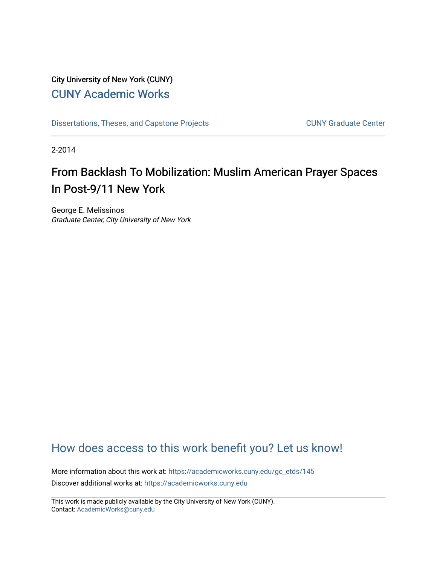## City University of New York (CUNY) [CUNY Academic Works](https://academicworks.cuny.edu/)

[Dissertations, Theses, and Capstone Projects](https://academicworks.cuny.edu/gc_etds) CUNY Graduate Center

2-2014

# From Backlash To Mobilization: Muslim American Prayer Spaces In Post-9/11 New York

George E. Melissinos Graduate Center, City University of New York

# [How does access to this work benefit you? Let us know!](http://ols.cuny.edu/academicworks/?ref=https://academicworks.cuny.edu/gc_etds/145)

More information about this work at: [https://academicworks.cuny.edu/gc\\_etds/145](https://academicworks.cuny.edu/gc_etds/145)  Discover additional works at: [https://academicworks.cuny.edu](https://academicworks.cuny.edu/?)

This work is made publicly available by the City University of New York (CUNY). Contact: [AcademicWorks@cuny.edu](mailto:AcademicWorks@cuny.edu)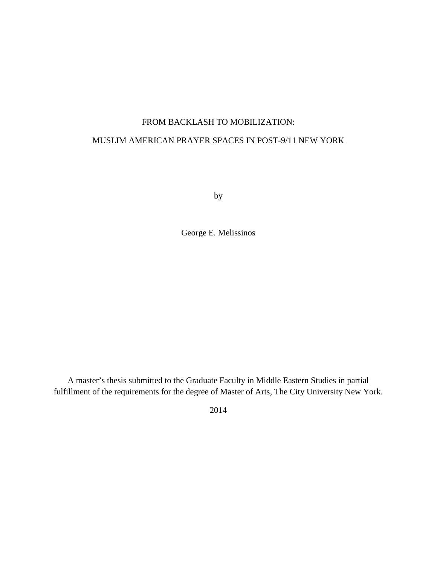#### FROM BACKLASH TO MOBILIZATION:

#### MUSLIM AMERICAN PRAYER SPACES IN POST-9/11 NEW YORK

by

George E. Melissinos

A master's thesis submitted to the Graduate Faculty in Middle Eastern Studies in partial fulfillment of the requirements for the degree of Master of Arts, The City University New York.

2014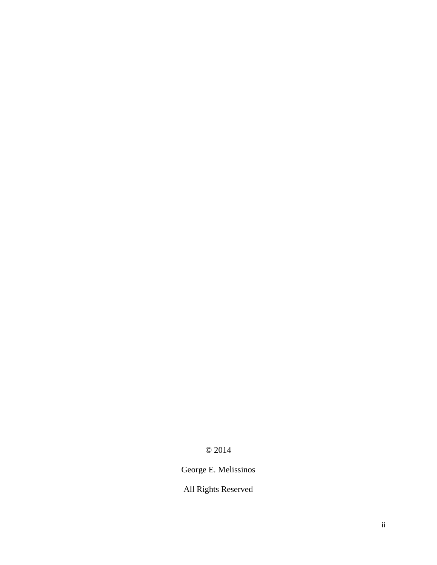## © 2014

George E. Melissinos

All Rights Reserved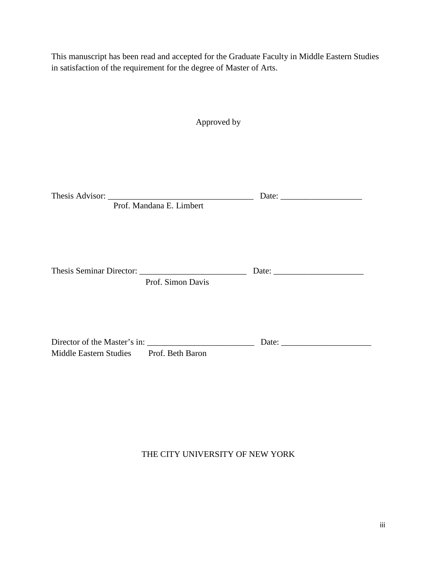This manuscript has been read and accepted for the Graduate Faculty in Middle Eastern Studies in satisfaction of the requirement for the degree of Master of Arts.

| Approved by                             |                                                                                                                                                                                                                                                                                                                                                                                                                                                   |
|-----------------------------------------|---------------------------------------------------------------------------------------------------------------------------------------------------------------------------------------------------------------------------------------------------------------------------------------------------------------------------------------------------------------------------------------------------------------------------------------------------|
|                                         |                                                                                                                                                                                                                                                                                                                                                                                                                                                   |
| Prof. Mandana E. Limbert                |                                                                                                                                                                                                                                                                                                                                                                                                                                                   |
| Prof. Simon Davis                       |                                                                                                                                                                                                                                                                                                                                                                                                                                                   |
| Middle Eastern Studies Prof. Beth Baron | Date: $\frac{1}{\sqrt{1-\frac{1}{2}} \cdot \frac{1}{2} \cdot \frac{1}{2} \cdot \frac{1}{2} \cdot \frac{1}{2} \cdot \frac{1}{2} \cdot \frac{1}{2} \cdot \frac{1}{2} \cdot \frac{1}{2} \cdot \frac{1}{2} \cdot \frac{1}{2} \cdot \frac{1}{2} \cdot \frac{1}{2} \cdot \frac{1}{2} \cdot \frac{1}{2} \cdot \frac{1}{2} \cdot \frac{1}{2} \cdot \frac{1}{2} \cdot \frac{1}{2} \cdot \frac{1}{2} \cdot \frac{1}{2} \cdot \frac{1}{2} \cdot \frac{1}{2}$ |

### THE CITY UNIVERSITY OF NEW YORK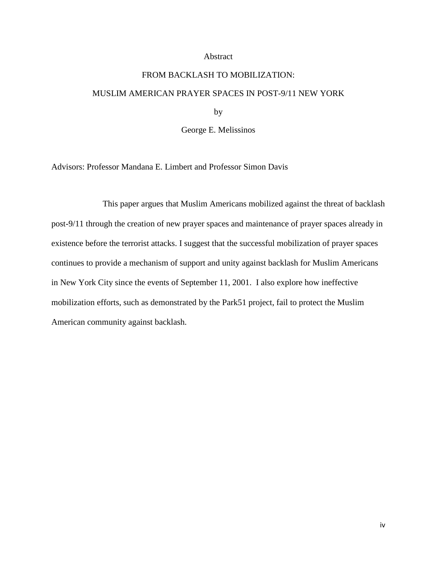#### Abstract

# FROM BACKLASH TO MOBILIZATION: MUSLIM AMERICAN PRAYER SPACES IN POST-9/11 NEW YORK by

George E. Melissinos

Advisors: Professor Mandana E. Limbert and Professor Simon Davis

This paper argues that Muslim Americans mobilized against the threat of backlash post-9/11 through the creation of new prayer spaces and maintenance of prayer spaces already in existence before the terrorist attacks. I suggest that the successful mobilization of prayer spaces continues to provide a mechanism of support and unity against backlash for Muslim Americans in New York City since the events of September 11, 2001. I also explore how ineffective mobilization efforts, such as demonstrated by the Park51 project, fail to protect the Muslim American community against backlash.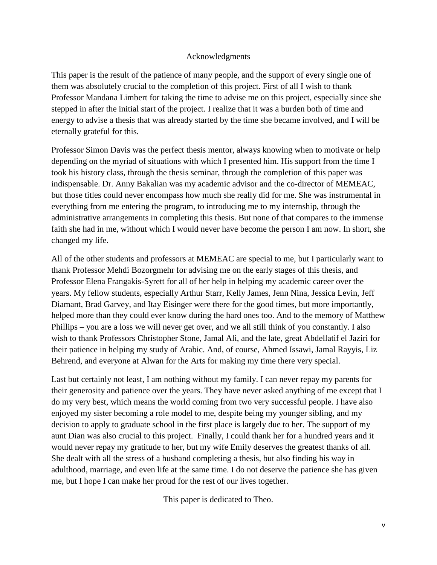#### Acknowledgments

This paper is the result of the patience of many people, and the support of every single one of them was absolutely crucial to the completion of this project. First of all I wish to thank Professor Mandana Limbert for taking the time to advise me on this project, especially since she stepped in after the initial start of the project. I realize that it was a burden both of time and energy to advise a thesis that was already started by the time she became involved, and I will be eternally grateful for this.

Professor Simon Davis was the perfect thesis mentor, always knowing when to motivate or help depending on the myriad of situations with which I presented him. His support from the time I took his history class, through the thesis seminar, through the completion of this paper was indispensable. Dr. Anny Bakalian was my academic advisor and the co-director of MEMEAC, but those titles could never encompass how much she really did for me. She was instrumental in everything from me entering the program, to introducing me to my internship, through the administrative arrangements in completing this thesis. But none of that compares to the immense faith she had in me, without which I would never have become the person I am now. In short, she changed my life.

All of the other students and professors at MEMEAC are special to me, but I particularly want to thank Professor Mehdi Bozorgmehr for advising me on the early stages of this thesis, and Professor Elena Frangakis-Syrett for all of her help in helping my academic career over the years. My fellow students, especially Arthur Starr, Kelly James, Jenn Nina, Jessica Levin, Jeff Diamant, Brad Garvey, and Itay Eisinger were there for the good times, but more importantly, helped more than they could ever know during the hard ones too. And to the memory of Matthew Phillips – you are a loss we will never get over, and we all still think of you constantly. I also wish to thank Professors Christopher Stone, Jamal Ali, and the late, great Abdellatif el Jaziri for their patience in helping my study of Arabic. And, of course, Ahmed Issawi, Jamal Rayyis, Liz Behrend, and everyone at Alwan for the Arts for making my time there very special.

Last but certainly not least, I am nothing without my family. I can never repay my parents for their generosity and patience over the years. They have never asked anything of me except that I do my very best, which means the world coming from two very successful people. I have also enjoyed my sister becoming a role model to me, despite being my younger sibling, and my decision to apply to graduate school in the first place is largely due to her. The support of my aunt Dian was also crucial to this project. Finally, I could thank her for a hundred years and it would never repay my gratitude to her, but my wife Emily deserves the greatest thanks of all. She dealt with all the stress of a husband completing a thesis, but also finding his way in adulthood, marriage, and even life at the same time. I do not deserve the patience she has given me, but I hope I can make her proud for the rest of our lives together.

This paper is dedicated to Theo.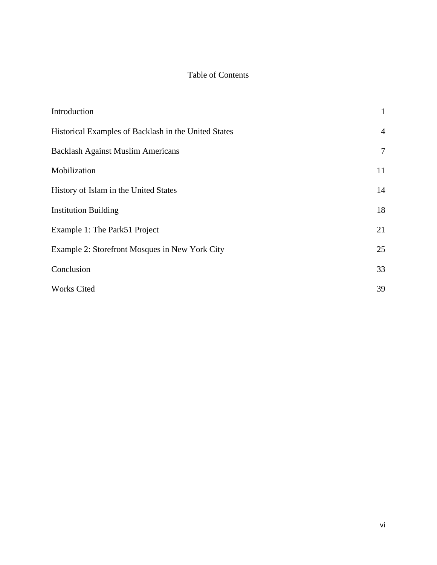### Table of Contents

| Introduction                                         | $\mathbf{1}$   |
|------------------------------------------------------|----------------|
| Historical Examples of Backlash in the United States | $\overline{4}$ |
| <b>Backlash Against Muslim Americans</b>             | $\overline{7}$ |
| Mobilization                                         | 11             |
| History of Islam in the United States                | 14             |
| <b>Institution Building</b>                          | 18             |
| Example 1: The Park51 Project                        | 21             |
| Example 2: Storefront Mosques in New York City       | 25             |
| Conclusion                                           | 33             |
| <b>Works Cited</b>                                   | 39             |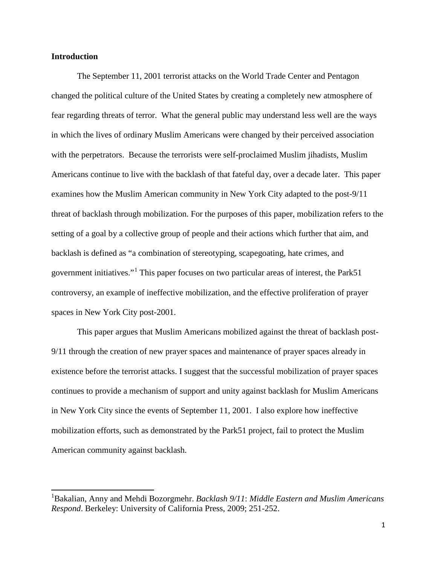#### **Introduction**

 $\overline{a}$ 

The September 11, 2001 terrorist attacks on the World Trade Center and Pentagon changed the political culture of the United States by creating a completely new atmosphere of fear regarding threats of terror. What the general public may understand less well are the ways in which the lives of ordinary Muslim Americans were changed by their perceived association with the perpetrators. Because the terrorists were self-proclaimed Muslim jihadists, Muslim Americans continue to live with the backlash of that fateful day, over a decade later. This paper examines how the Muslim American community in New York City adapted to the post-9/11 threat of backlash through mobilization. For the purposes of this paper, mobilization refers to the setting of a goal by a collective group of people and their actions which further that aim, and backlash is defined as "a combination of stereotyping, scapegoating, hate crimes, and government initiatives."[1](#page-7-0) This paper focuses on two particular areas of interest, the Park51 controversy, an example of ineffective mobilization, and the effective proliferation of prayer spaces in New York City post-2001.

This paper argues that Muslim Americans mobilized against the threat of backlash post-9/11 through the creation of new prayer spaces and maintenance of prayer spaces already in existence before the terrorist attacks. I suggest that the successful mobilization of prayer spaces continues to provide a mechanism of support and unity against backlash for Muslim Americans in New York City since the events of September 11, 2001. I also explore how ineffective mobilization efforts, such as demonstrated by the Park51 project, fail to protect the Muslim American community against backlash.

<span id="page-7-0"></span><sup>1</sup> Bakalian, Anny and Mehdi Bozorgmehr. *Backlash 9/11*: *Middle Eastern and Muslim Americans Respond*. Berkeley: University of California Press, 2009; 251-252.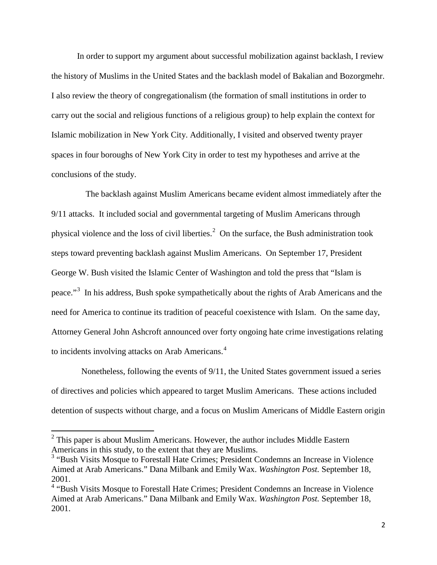In order to support my argument about successful mobilization against backlash, I review the history of Muslims in the United States and the backlash model of Bakalian and Bozorgmehr. I also review the theory of congregationalism (the formation of small institutions in order to carry out the social and religious functions of a religious group) to help explain the context for Islamic mobilization in New York City. Additionally, I visited and observed twenty prayer spaces in four boroughs of New York City in order to test my hypotheses and arrive at the conclusions of the study.

 The backlash against Muslim Americans became evident almost immediately after the 9/11 attacks. It included social and governmental targeting of Muslim Americans through physical violence and the loss of civil liberties.<sup>[2](#page-8-0)</sup> On the surface, the Bush administration took steps toward preventing backlash against Muslim Americans. On September 17, President George W. Bush visited the Islamic Center of Washington and told the press that "Islam is peace."<sup>[3](#page-8-1)</sup> In his address, Bush spoke sympathetically about the rights of Arab Americans and the need for America to continue its tradition of peaceful coexistence with Islam. On the same day, Attorney General John Ashcroft announced over forty ongoing hate crime investigations relating to incidents involving attacks on Arab Americans.<sup>[4](#page-8-2)</sup>

 Nonetheless, following the events of 9/11, the United States government issued a series of directives and policies which appeared to target Muslim Americans. These actions included detention of suspects without charge, and a focus on Muslim Americans of Middle Eastern origin

l

<span id="page-8-0"></span><sup>&</sup>lt;sup>2</sup> This paper is about Muslim Americans. However, the author includes Middle Eastern Americans in this study, to the extent that they are Muslims.

<span id="page-8-1"></span><sup>&</sup>lt;sup>3</sup> "Bush Visits Mosque to Forestall Hate Crimes; President Condemns an Increase in Violence Aimed at Arab Americans." Dana Milbank and Emily Wax. *Washington Post.* September 18, 2001.

<span id="page-8-2"></span><sup>&</sup>lt;sup>4</sup> "Bush Visits Mosque to Forestall Hate Crimes; President Condemns an Increase in Violence Aimed at Arab Americans." Dana Milbank and Emily Wax. *Washington Post.* September 18, 2001.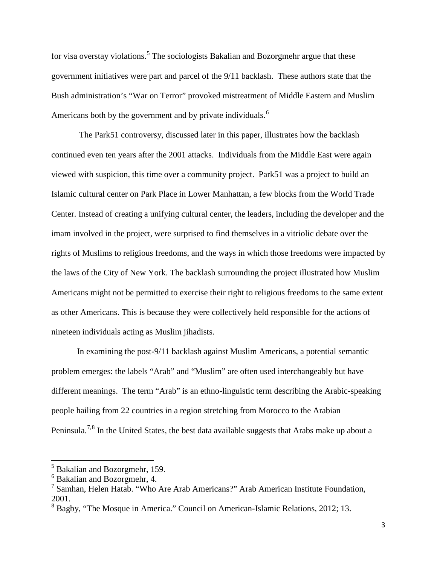for visa overstay violations.<sup>[5](#page-9-0)</sup> The sociologists Bakalian and Bozorgmehr argue that these government initiatives were part and parcel of the 9/11 backlash. These authors state that the Bush administration's "War on Terror" provoked mistreatment of Middle Eastern and Muslim Americans both by the government and by private individuals.<sup>[6](#page-9-1)</sup>

 The Park51 controversy, discussed later in this paper, illustrates how the backlash continued even ten years after the 2001 attacks. Individuals from the Middle East were again viewed with suspicion, this time over a community project. Park51 was a project to build an Islamic cultural center on Park Place in Lower Manhattan, a few blocks from the World Trade Center. Instead of creating a unifying cultural center, the leaders, including the developer and the imam involved in the project, were surprised to find themselves in a vitriolic debate over the rights of Muslims to religious freedoms, and the ways in which those freedoms were impacted by the laws of the City of New York. The backlash surrounding the project illustrated how Muslim Americans might not be permitted to exercise their right to religious freedoms to the same extent as other Americans. This is because they were collectively held responsible for the actions of nineteen individuals acting as Muslim jihadists.

In examining the post-9/11 backlash against Muslim Americans, a potential semantic problem emerges: the labels "Arab" and "Muslim" are often used interchangeably but have different meanings. The term "Arab" is an ethno-linguistic term describing the Arabic-speaking people hailing from 22 countries in a region stretching from Morocco to the Arabian Peninsula.<sup>[7](#page-9-2),[8](#page-9-3)</sup> In the United States, the best data available suggests that Arabs make up about a

 $\overline{\phantom{a}}$ 

<span id="page-9-0"></span><sup>5</sup> Bakalian and Bozorgmehr, 159.

<span id="page-9-1"></span><sup>6</sup> Bakalian and Bozorgmehr, 4.

<span id="page-9-2"></span><sup>&</sup>lt;sup>7</sup> Samhan, Helen Hatab. "Who Are Arab Americans?" Arab American Institute Foundation, 2001.

<span id="page-9-3"></span><sup>&</sup>lt;sup>8</sup> Bagby, "The Mosque in America." Council on American-Islamic Relations, 2012; 13.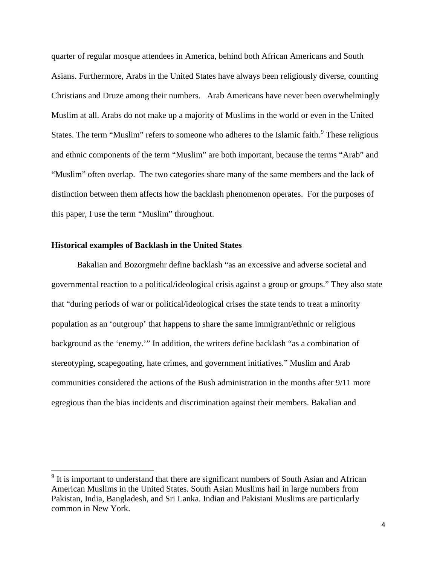quarter of regular mosque attendees in America, behind both African Americans and South Asians. Furthermore, Arabs in the United States have always been religiously diverse, counting Christians and Druze among their numbers. Arab Americans have never been overwhelmingly Muslim at all. Arabs do not make up a majority of Muslims in the world or even in the United States. The term "Muslim" refers to someone who adheres to the Islamic faith.<sup>[9](#page-10-0)</sup> These religious and ethnic components of the term "Muslim" are both important, because the terms "Arab" and "Muslim" often overlap. The two categories share many of the same members and the lack of distinction between them affects how the backlash phenomenon operates. For the purposes of this paper, I use the term "Muslim" throughout.

#### **Historical examples of Backlash in the United States**

l

Bakalian and Bozorgmehr define backlash "as an excessive and adverse societal and governmental reaction to a political/ideological crisis against a group or groups." They also state that "during periods of war or political/ideological crises the state tends to treat a minority population as an 'outgroup' that happens to share the same immigrant/ethnic or religious background as the 'enemy.'" In addition, the writers define backlash "as a combination of stereotyping, scapegoating, hate crimes, and government initiatives." Muslim and Arab communities considered the actions of the Bush administration in the months after 9/11 more egregious than the bias incidents and discrimination against their members. Bakalian and

<span id="page-10-0"></span> $9$  It is important to understand that there are significant numbers of South Asian and African American Muslims in the United States. South Asian Muslims hail in large numbers from Pakistan, India, Bangladesh, and Sri Lanka. Indian and Pakistani Muslims are particularly common in New York.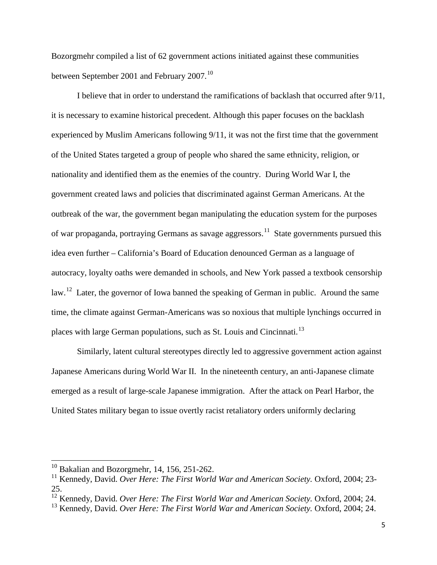Bozorgmehr compiled a list of 62 government actions initiated against these communities between September 2001 and February 2007.<sup>[10](#page-11-0)</sup>

I believe that in order to understand the ramifications of backlash that occurred after 9/11, it is necessary to examine historical precedent. Although this paper focuses on the backlash experienced by Muslim Americans following 9/11, it was not the first time that the government of the United States targeted a group of people who shared the same ethnicity, religion, or nationality and identified them as the enemies of the country. During World War I, the government created laws and policies that discriminated against German Americans. At the outbreak of the war, the government began manipulating the education system for the purposes of war propaganda, portraying Germans as savage aggressors.<sup>[11](#page-11-1)</sup> State governments pursued this idea even further – California's Board of Education denounced German as a language of autocracy, loyalty oaths were demanded in schools, and New York passed a textbook censorship law.<sup>[12](#page-11-2)</sup> Later, the governor of Iowa banned the speaking of German in public. Around the same time, the climate against German-Americans was so noxious that multiple lynchings occurred in places with large German populations, such as St. Louis and Cincinnati.<sup>[13](#page-11-3)</sup>

Similarly, latent cultural stereotypes directly led to aggressive government action against Japanese Americans during World War II. In the nineteenth century, an anti-Japanese climate emerged as a result of large-scale Japanese immigration. After the attack on Pearl Harbor, the United States military began to issue overtly racist retaliatory orders uniformly declaring

 $\overline{\phantom{a}}$ 

<span id="page-11-0"></span> $10$  Bakalian and Bozorgmehr, 14, 156, 251-262.

<span id="page-11-1"></span><sup>&</sup>lt;sup>11</sup> Kennedy, David. Over Here: The First World War and American Society. Oxford, 2004; 23-25.

<span id="page-11-2"></span><sup>&</sup>lt;sup>12</sup> Kennedy, David. *Over Here: The First World War and American Society.* Oxford, 2004; 24.

<span id="page-11-3"></span><sup>13</sup> Kennedy, David. *Over Here: The First World War and American Society.* Oxford, 2004; 24.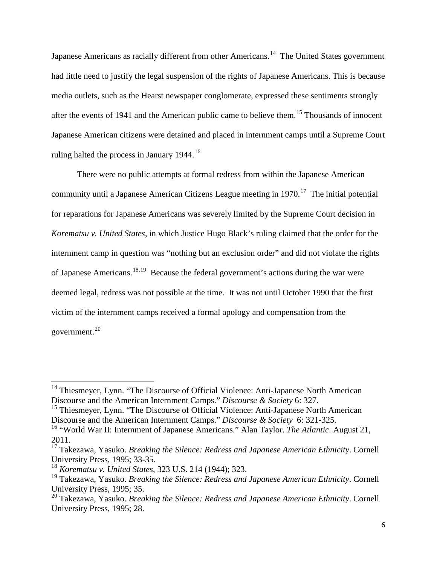Japanese Americans as racially different from other Americans.<sup>14</sup> The United States government had little need to justify the legal suspension of the rights of Japanese Americans. This is because media outlets, such as the Hearst newspaper conglomerate, expressed these sentiments strongly after the events of 1941 and the American public came to believe them.<sup>[15](#page-12-1)</sup> Thousands of innocent Japanese American citizens were detained and placed in internment camps until a Supreme Court ruling halted the process in January 1944.<sup>[16](#page-12-2)</sup>

There were no public attempts at formal redress from within the Japanese American community until a Japanese American Citizens League meeting in  $1970$ .<sup>[17](#page-12-3)</sup> The initial potential for reparations for Japanese Americans was severely limited by the Supreme Court decision in *Korematsu v. United States*, in which Justice Hugo Black's ruling claimed that the order for the internment camp in question was "nothing but an exclusion order" and did not violate the rights of Japanese Americans.[18](#page-12-4),[19](#page-12-5) Because the federal government's actions during the war were deemed legal, redress was not possible at the time. It was not until October 1990 that the first victim of the internment camps received a formal apology and compensation from the government.<sup>[20](#page-12-6)</sup>

<span id="page-12-1"></span><sup>15</sup> Thiesmeyer, Lynn. "The Discourse of Official Violence: Anti-Japanese North American Discourse and the American Internment Camps." *Discourse & Society* 6: 321-325.

l

<span id="page-12-0"></span><sup>&</sup>lt;sup>14</sup> Thiesmeyer, Lynn. "The Discourse of Official Violence: Anti-Japanese North American Discourse and the American Internment Camps." *Discourse & Society* 6: 327.

<span id="page-12-2"></span><sup>16</sup> "World War II: Internment of Japanese Americans." Alan Taylor. *The Atlantic*. August 21, 2011.

<span id="page-12-3"></span><sup>17</sup> Takezawa, Yasuko. *Breaking the Silence: Redress and Japanese American Ethnicity*. Cornell University Press, 1995; 33-35.

<span id="page-12-4"></span><sup>18</sup> *Korematsu v. United States*, 323 U.S. 214 (1944); 323.

<span id="page-12-5"></span><sup>19</sup> Takezawa, Yasuko. *Breaking the Silence: Redress and Japanese American Ethnicity*. Cornell University Press, 1995; 35.

<span id="page-12-6"></span><sup>20</sup> Takezawa, Yasuko. *Breaking the Silence: Redress and Japanese American Ethnicity*. Cornell University Press, 1995; 28.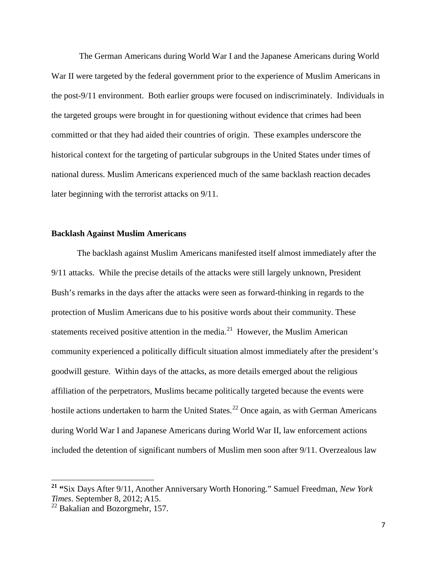The German Americans during World War I and the Japanese Americans during World War II were targeted by the federal government prior to the experience of Muslim Americans in the post-9/11 environment. Both earlier groups were focused on indiscriminately. Individuals in the targeted groups were brought in for questioning without evidence that crimes had been committed or that they had aided their countries of origin. These examples underscore the historical context for the targeting of particular subgroups in the United States under times of national duress. Muslim Americans experienced much of the same backlash reaction decades later beginning with the terrorist attacks on 9/11.

#### **Backlash Against Muslim Americans**

The backlash against Muslim Americans manifested itself almost immediately after the 9/11 attacks. While the precise details of the attacks were still largely unknown, President Bush's remarks in the days after the attacks were seen as forward-thinking in regards to the protection of Muslim Americans due to his positive words about their community. These statements received positive attention in the media.<sup>[21](#page-13-0)</sup> However, the Muslim American community experienced a politically difficult situation almost immediately after the president's goodwill gesture. Within days of the attacks, as more details emerged about the religious affiliation of the perpetrators, Muslims became politically targeted because the events were hostile actions undertaken to harm the United States.<sup>[22](#page-13-1)</sup> Once again, as with German Americans during World War I and Japanese Americans during World War II, law enforcement actions included the detention of significant numbers of Muslim men soon after 9/11. Overzealous law

l

<span id="page-13-0"></span>**<sup>21</sup> "**Six Days After 9/11, Another Anniversary Worth Honoring." Samuel Freedman, *New York Times*. September 8, 2012; A15.

<span id="page-13-1"></span> $22$  Bakalian and Bozorgmehr, 157.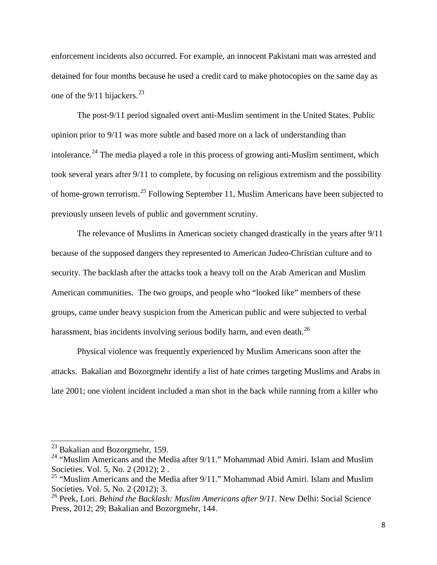enforcement incidents also occurred. For example, an innocent Pakistani man was arrested and detained for four months because he used a credit card to make photocopies on the same day as one of the  $9/11$  hijackers.<sup>[23](#page-14-0)</sup>

The post-9/11 period signaled overt anti-Muslim sentiment in the United States. Public opinion prior to 9/11 was more subtle and based more on a lack of understanding than intolerance.<sup>[24](#page-14-1)</sup> The media played a role in this process of growing anti-Muslim sentiment, which took several years after 9/11 to complete, by focusing on religious extremism and the possibility of home-grown terrorism.[25](#page-14-2) Following September 11, Muslim Americans have been subjected to previously unseen levels of public and government scrutiny.

The relevance of Muslims in American society changed drastically in the years after 9/11 because of the supposed dangers they represented to American Judeo-Christian culture and to security. The backlash after the attacks took a heavy toll on the Arab American and Muslim American communities. The two groups, and people who "looked like" members of these groups, came under heavy suspicion from the American public and were subjected to verbal harassment, bias incidents involving serious bodily harm, and even death.<sup>[26](#page-14-3)</sup>

Physical violence was frequently experienced by Muslim Americans soon after the attacks. Bakalian and Bozorgmehr identify a list of hate crimes targeting Muslims and Arabs in late 2001; one violent incident included a man shot in the back while running from a killer who

 $^{23}$  Bakalian and Bozorgmehr, 159.

<span id="page-14-1"></span><span id="page-14-0"></span><sup>&</sup>lt;sup>24</sup> "Muslim Americans and the Media after  $9/11$ ." Mohammad Abid Amiri. Islam and Muslim Societies. Vol. 5, No. 2 (2012); 2.<br><sup>25</sup> "Muslim Americans and the Media after 9/11." Mohammad Abid Amiri. Islam and Muslim

<span id="page-14-2"></span>Societies. Vol. 5, No. 2 (2012); 3.

<span id="page-14-3"></span><sup>26</sup> Peek, Lori. *Behind the Backlash: Muslim Americans after 9/11*. New Delhi: Social Science Press, 2012; 29; Bakalian and Bozorgmehr, 144.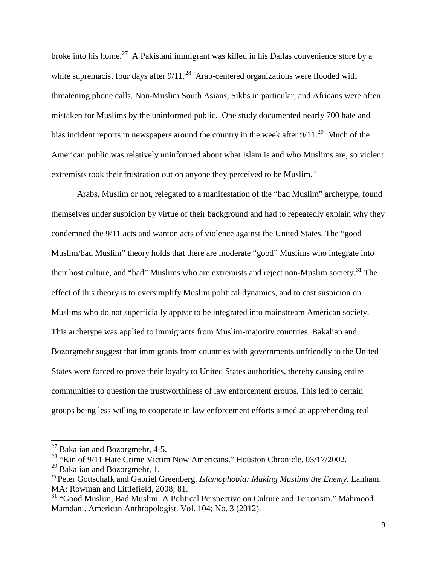broke into his home.<sup>[27](#page-15-0)</sup> A Pakistani immigrant was killed in his Dallas convenience store by a white supremacist four days after  $9/11$ .<sup>28</sup> Arab-centered organizations were flooded with threatening phone calls. Non-Muslim South Asians, Sikhs in particular, and Africans were often mistaken for Muslims by the uninformed public. One study documented nearly 700 hate and bias incident reports in newspapers around the country in the week after  $9/11$ <sup>29</sup>. Much of the American public was relatively uninformed about what Islam is and who Muslims are, so violent extremists took their frustration out on anyone they perceived to be Muslim.<sup>[30](#page-15-3)</sup>

Arabs, Muslim or not, relegated to a manifestation of the "bad Muslim" archetype, found themselves under suspicion by virtue of their background and had to repeatedly explain why they condemned the 9/11 acts and wanton acts of violence against the United States. The "good Muslim/bad Muslim" theory holds that there are moderate "good" Muslims who integrate into their host culture, and "bad" Muslims who are extremists and reject non-Muslim society.<sup>[31](#page-15-4)</sup> The effect of this theory is to oversimplify Muslim political dynamics, and to cast suspicion on Muslims who do not superficially appear to be integrated into mainstream American society. This archetype was applied to immigrants from Muslim-majority countries. Bakalian and Bozorgmehr suggest that immigrants from countries with governments unfriendly to the United States were forced to prove their loyalty to United States authorities, thereby causing entire communities to question the trustworthiness of law enforcement groups. This led to certain groups being less willing to cooperate in law enforcement efforts aimed at apprehending real

 $\overline{\phantom{a}}$ 

 $27$  Bakalian and Bozorgmehr, 4-5.

<span id="page-15-1"></span><span id="page-15-0"></span><sup>&</sup>lt;sup>28</sup> "Kin of 9/11 Hate Crime Victim Now Americans." Houston Chronicle. 03/17/2002.

<span id="page-15-2"></span> $^{29}$  Bakalian and Bozorgmehr, 1.

<span id="page-15-3"></span><sup>&</sup>lt;sup>30</sup> Peter Gottschalk and Gabriel Greenberg. *Islamophobia: Making Muslims the Enemy*. Lanham, MA: Rowman and Littlefield, 2008; 81.

<span id="page-15-4"></span><sup>&</sup>lt;sup>31</sup> "Good Muslim, Bad Muslim: A Political Perspective on Culture and Terrorism." Mahmood Mamdani. American Anthropologist. Vol. 104; No. 3 (2012).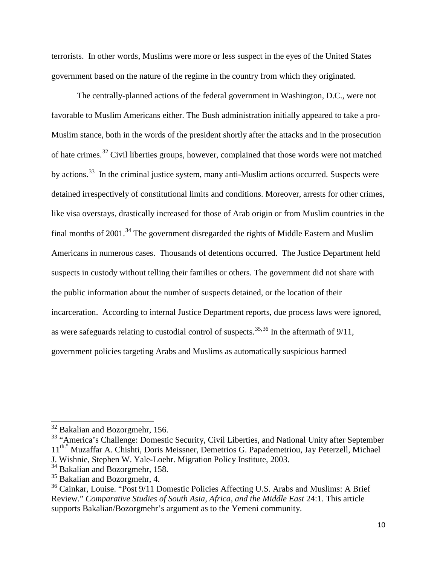terrorists. In other words, Muslims were more or less suspect in the eyes of the United States government based on the nature of the regime in the country from which they originated.

The centrally-planned actions of the federal government in Washington, D.C., were not favorable to Muslim Americans either. The Bush administration initially appeared to take a pro-Muslim stance, both in the words of the president shortly after the attacks and in the prosecution of hate crimes.[32](#page-16-0) Civil liberties groups, however, complained that those words were not matched by actions.<sup>33</sup> In the criminal justice system, many anti-Muslim actions occurred. Suspects were detained irrespectively of constitutional limits and conditions. Moreover, arrests for other crimes, like visa overstays, drastically increased for those of Arab origin or from Muslim countries in the final months of  $2001$ .<sup>[34](#page-16-2)</sup> The government disregarded the rights of Middle Eastern and Muslim Americans in numerous cases. Thousands of detentions occurred. The Justice Department held suspects in custody without telling their families or others. The government did not share with the public information about the number of suspects detained, or the location of their incarceration. According to internal Justice Department reports, due process laws were ignored, as were safeguards relating to custodial control of suspects.<sup>[35,](#page-16-3)[36](#page-16-4)</sup> In the aftermath of  $9/11$ , government policies targeting Arabs and Muslims as automatically suspicious harmed

l

 $32$  Bakalian and Bozorgmehr, 156.

<span id="page-16-1"></span><span id="page-16-0"></span><sup>&</sup>lt;sup>33</sup> "America's Challenge: Domestic Security, Civil Liberties, and National Unity after September 11<sup>th."</sup> Muzaffar A. Chishti, Doris Meissner, Demetrios G. Papademetriou, Jay Peterzell, Michael J. Wishnie, Stephen W. Yale-Loehr. Migration Policy Institute, 2003.

<span id="page-16-2"></span><sup>&</sup>lt;sup>34</sup> Bakalian and Bozorgmehr, 158.

<span id="page-16-3"></span><sup>&</sup>lt;sup>35</sup> Bakalian and Bozorgmehr, 4.

<span id="page-16-4"></span><sup>&</sup>lt;sup>36</sup> Cainkar, Louise. "Post 9/11 Domestic Policies Affecting U.S. Arabs and Muslims: A Brief Review." *Comparative Studies of South Asia, Africa, and the Middle East* 24:1. This article supports Bakalian/Bozorgmehr's argument as to the Yemeni community.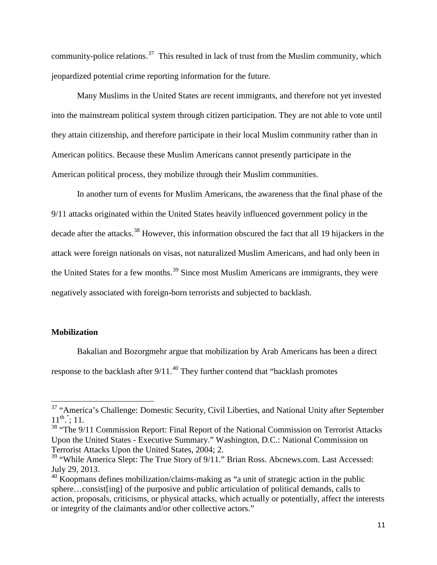community-police relations.<sup>[37](#page-17-0)</sup> This resulted in lack of trust from the Muslim community, which jeopardized potential crime reporting information for the future.

Many Muslims in the United States are recent immigrants, and therefore not yet invested into the mainstream political system through citizen participation. They are not able to vote until they attain citizenship, and therefore participate in their local Muslim community rather than in American politics. Because these Muslim Americans cannot presently participate in the American political process, they mobilize through their Muslim communities.

In another turn of events for Muslim Americans, the awareness that the final phase of the 9/11 attacks originated within the United States heavily influenced government policy in the decade after the attacks.<sup>[38](#page-17-1)</sup> However, this information obscured the fact that all 19 hijackers in the attack were foreign nationals on visas, not naturalized Muslim Americans, and had only been in the United States for a few months.<sup>[39](#page-17-2)</sup> Since most Muslim Americans are immigrants, they were negatively associated with foreign-born terrorists and subjected to backlash.

#### **Mobilization**

 $\overline{\phantom{a}}$ 

Bakalian and Bozorgmehr argue that mobilization by Arab Americans has been a direct response to the backlash after  $9/11$ .<sup>[40](#page-17-3)</sup> They further contend that "backlash promotes"

<span id="page-17-0"></span><sup>&</sup>lt;sup>37</sup> "America's Challenge: Domestic Security, Civil Liberties, and National Unity after September  $11^{\text{th}}$ "; 11.

<span id="page-17-1"></span><sup>&</sup>lt;sup>38</sup> "The 9/11 Commission Report: Final Report of the National Commission on Terrorist Attacks Upon the United States - Executive Summary." Washington, D.C.: National Commission on Terrorist Attacks Upon the United States, 2004; 2.

<span id="page-17-2"></span><sup>&</sup>lt;sup>39</sup> "While America Slept: The True Story of 9/11." Brian Ross. Abcnews.com. Last Accessed: July 29, 2013.

<span id="page-17-3"></span><sup>&</sup>lt;sup>40</sup> Koopmans defines mobilization/claims-making as "a unit of strategic action in the public sphere…consist[ing] of the purposive and public articulation of political demands, calls to action, proposals, criticisms, or physical attacks, which actually or potentially, affect the interests or integrity of the claimants and/or other collective actors."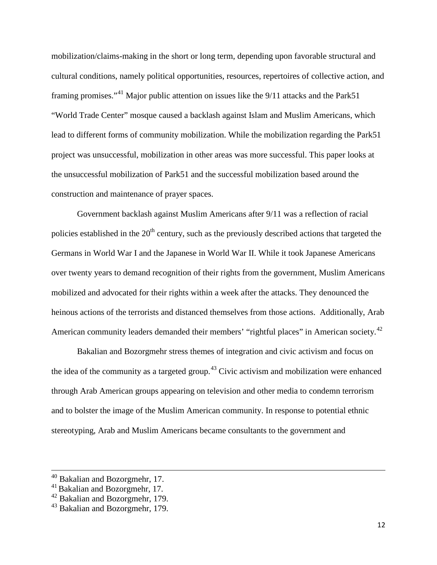mobilization/claims-making in the short or long term, depending upon favorable structural and cultural conditions, namely political opportunities, resources, repertoires of collective action, and framing promises."<sup>[41](#page-18-0)</sup> Major public attention on issues like the  $9/11$  attacks and the Park51 "World Trade Center" mosque caused a backlash against Islam and Muslim Americans, which lead to different forms of community mobilization. While the mobilization regarding the Park51 project was unsuccessful, mobilization in other areas was more successful. This paper looks at the unsuccessful mobilization of Park51 and the successful mobilization based around the construction and maintenance of prayer spaces.

Government backlash against Muslim Americans after 9/11 was a reflection of racial policies established in the  $20<sup>th</sup>$  century, such as the previously described actions that targeted the Germans in World War I and the Japanese in World War II. While it took Japanese Americans over twenty years to demand recognition of their rights from the government, Muslim Americans mobilized and advocated for their rights within a week after the attacks. They denounced the heinous actions of the terrorists and distanced themselves from those actions. Additionally, Arab American community leaders demanded their members' "rightful places" in American society.<sup>[42](#page-18-1)</sup>

Bakalian and Bozorgmehr stress themes of integration and civic activism and focus on the idea of the community as a targeted group.<sup>[43](#page-18-2)</sup> Civic activism and mobilization were enhanced through Arab American groups appearing on television and other media to condemn terrorism and to bolster the image of the Muslim American community. In response to potential ethnic stereotyping, Arab and Muslim Americans became consultants to the government and

l

 $40$  Bakalian and Bozorgmehr, 17.

<span id="page-18-0"></span><sup>&</sup>lt;sup>41</sup> Bakalian and Bozorgmehr, 17.

<span id="page-18-1"></span><sup>42</sup> Bakalian and Bozorgmehr, 179.

<span id="page-18-2"></span><sup>43</sup> Bakalian and Bozorgmehr, 179.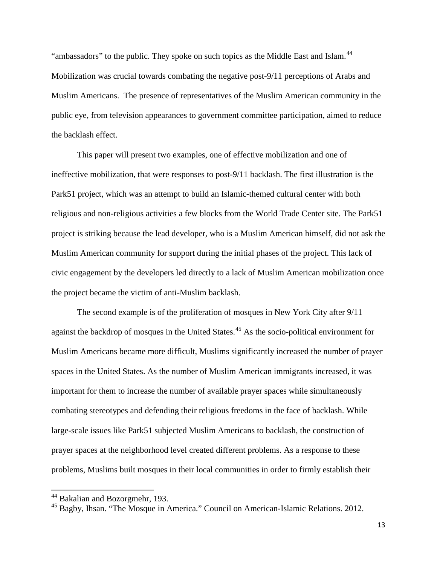"ambassadors" to the public. They spoke on such topics as the Middle East and Islam.<sup>[44](#page-19-0)</sup> Mobilization was crucial towards combating the negative post-9/11 perceptions of Arabs and Muslim Americans. The presence of representatives of the Muslim American community in the public eye, from television appearances to government committee participation, aimed to reduce the backlash effect.

This paper will present two examples, one of effective mobilization and one of ineffective mobilization, that were responses to post-9/11 backlash. The first illustration is the Park51 project, which was an attempt to build an Islamic-themed cultural center with both religious and non-religious activities a few blocks from the World Trade Center site. The Park51 project is striking because the lead developer, who is a Muslim American himself, did not ask the Muslim American community for support during the initial phases of the project. This lack of civic engagement by the developers led directly to a lack of Muslim American mobilization once the project became the victim of anti-Muslim backlash.

The second example is of the proliferation of mosques in New York City after 9/11 against the backdrop of mosques in the United States.<sup>[45](#page-19-1)</sup> As the socio-political environment for Muslim Americans became more difficult, Muslims significantly increased the number of prayer spaces in the United States. As the number of Muslim American immigrants increased, it was important for them to increase the number of available prayer spaces while simultaneously combating stereotypes and defending their religious freedoms in the face of backlash. While large-scale issues like Park51 subjected Muslim Americans to backlash, the construction of prayer spaces at the neighborhood level created different problems. As a response to these problems, Muslims built mosques in their local communities in order to firmly establish their

<sup>&</sup>lt;sup>44</sup> Bakalian and Bozorgmehr, 193.

<span id="page-19-1"></span><span id="page-19-0"></span><sup>45</sup> Bagby, Ihsan. "The Mosque in America." Council on American-Islamic Relations. 2012.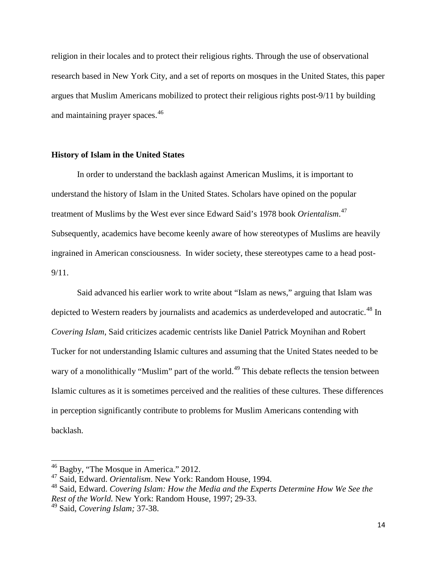religion in their locales and to protect their religious rights. Through the use of observational research based in New York City, and a set of reports on mosques in the United States, this paper argues that Muslim Americans mobilized to protect their religious rights post-9/11 by building and maintaining prayer spaces.<sup>[46](#page-20-0)</sup>

#### **History of Islam in the United States**

In order to understand the backlash against American Muslims, it is important to understand the history of Islam in the United States. Scholars have opined on the popular treatment of Muslims by the West ever since Edward Said's 1978 book *Orientalism*. [47](#page-20-1) Subsequently, academics have become keenly aware of how stereotypes of Muslims are heavily ingrained in American consciousness. In wider society, these stereotypes came to a head post-9/11.

Said advanced his earlier work to write about "Islam as news," arguing that Islam was depicted to Western readers by journalists and academics as underdeveloped and autocratic.<sup>[48](#page-20-2)</sup> In *Covering Islam*, Said criticizes academic centrists like Daniel Patrick Moynihan and Robert Tucker for not understanding Islamic cultures and assuming that the United States needed to be wary of a monolithically "Muslim" part of the world.<sup>[49](#page-20-3)</sup> This debate reflects the tension between Islamic cultures as it is sometimes perceived and the realities of these cultures. These differences in perception significantly contribute to problems for Muslim Americans contending with backlash.

 $\overline{\phantom{a}}$ 

<sup>&</sup>lt;sup>46</sup> Bagby, "The Mosque in America." 2012.

<span id="page-20-1"></span><span id="page-20-0"></span><sup>47</sup> Said, Edward. *Orientalism*. New York: Random House, 1994.

<span id="page-20-2"></span><sup>48</sup> Said, Edward. *Covering Islam: How the Media and the Experts Determine How We See the Rest of the World.* New York: Random House, 1997; 29-33.

<span id="page-20-3"></span><sup>49</sup> Said, *Covering Islam;* 37-38.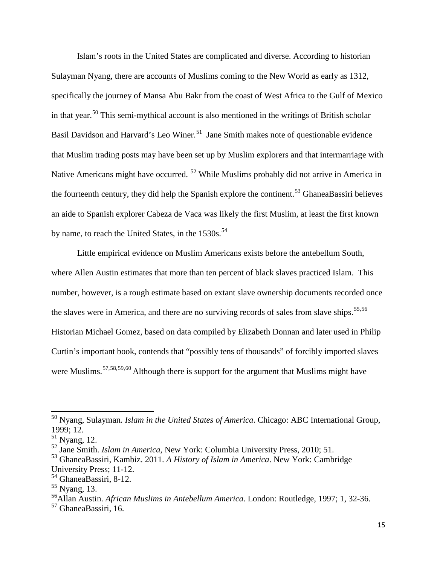Islam's roots in the United States are complicated and diverse. According to historian Sulayman Nyang, there are accounts of Muslims coming to the New World as early as 1312, specifically the journey of Mansa Abu Bakr from the coast of West Africa to the Gulf of Mexico in that year.<sup>[50](#page-21-0)</sup> This semi-mythical account is also mentioned in the writings of British scholar Basil Davidson and Harvard's Leo Winer.<sup>[51](#page-21-1)</sup> Jane Smith makes note of questionable evidence that Muslim trading posts may have been set up by Muslim explorers and that intermarriage with Native Americans might have occurred. [52](#page-21-2) While Muslims probably did not arrive in America in the fourteenth century, they did help the Spanish explore the continent.<sup>[53](#page-21-3)</sup> GhaneaBassiri believes an aide to Spanish explorer Cabeza de Vaca was likely the first Muslim, at least the first known by name, to reach the United States, in the  $1530s$ .<sup>[54](#page-21-4)</sup>

Little empirical evidence on Muslim Americans exists before the antebellum South, where Allen Austin estimates that more than ten percent of black slaves practiced Islam. This number, however, is a rough estimate based on extant slave ownership documents recorded once the slaves were in America, and there are no surviving records of sales from slave ships.<sup>[55](#page-21-5),[56](#page-21-6)</sup> Historian Michael Gomez, based on data compiled by Elizabeth Donnan and later used in Philip Curtin's important book, contends that "possibly tens of thousands" of forcibly imported slaves were Muslims.<sup>[57](#page-21-7),[58,](#page-21-8)[59](#page-21-9),[60](#page-21-10)</sup> Although there is support for the argument that Muslims might have

<span id="page-21-9"></span><span id="page-21-8"></span> $\overline{\phantom{a}}$ 

<span id="page-21-0"></span><sup>50</sup> Nyang, Sulayman. *Islam in the United States of America*. Chicago: ABC International Group, 1999; 12.

<span id="page-21-10"></span><span id="page-21-1"></span> $<sup>51</sup>$  Nyang, 12.</sup>

<span id="page-21-2"></span><sup>52</sup> Jane Smith. *Islam in America*, New York: Columbia University Press, 2010; 51. <sup>53</sup> GhaneaBassiri, Kambiz. 2011. *A History of Islam in America*. New York: Cambridge

<span id="page-21-3"></span>University Press; 11-12.

<span id="page-21-4"></span><sup>54</sup> GhaneaBassiri, 8-12.

<span id="page-21-5"></span> $55$  Nyang, 13.

<span id="page-21-6"></span><sup>56</sup>Allan Austin. *African Muslims in Antebellum America*. London: Routledge, 1997; 1, 32-36.

<span id="page-21-7"></span><sup>&</sup>lt;sup>57</sup> GhaneaBassiri, 16.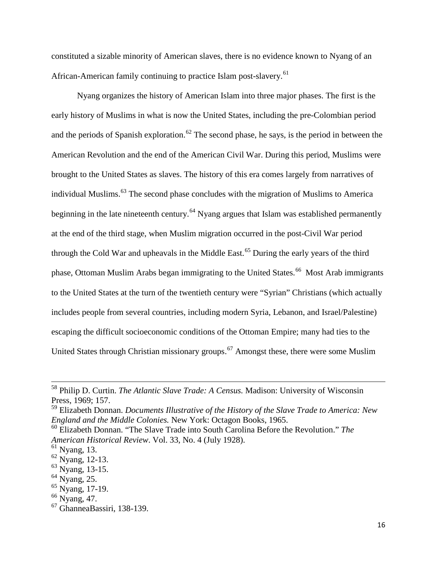constituted a sizable minority of American slaves, there is no evidence known to Nyang of an African-American family continuing to practice Islam post-slavery.<sup>[61](#page-22-0)</sup>

Nyang organizes the history of American Islam into three major phases. The first is the early history of Muslims in what is now the United States, including the pre-Colombian period and the periods of Spanish exploration.<sup>[62](#page-22-1)</sup> The second phase, he says, is the period in between the American Revolution and the end of the American Civil War. During this period, Muslims were brought to the United States as slaves. The history of this era comes largely from narratives of individual Muslims.[63](#page-22-2) The second phase concludes with the migration of Muslims to America beginning in the late nineteenth century.<sup>[64](#page-22-3)</sup> Nyang argues that Islam was established permanently at the end of the third stage, when Muslim migration occurred in the post-Civil War period through the Cold War and upheavals in the Middle East.<sup>[65](#page-22-4)</sup> During the early years of the third phase, Ottoman Muslim Arabs began immigrating to the United States.<sup>[66](#page-22-5)</sup> Most Arab immigrants to the United States at the turn of the twentieth century were "Syrian" Christians (which actually includes people from several countries, including modern Syria, Lebanon, and Israel/Palestine) escaping the difficult socioeconomic conditions of the Ottoman Empire; many had ties to the United States through Christian missionary groups.<sup>[67](#page-22-6)</sup> Amongst these, there were some Muslim

l

<sup>58</sup> Philip D. Curtin. *The Atlantic Slave Trade: A Census.* Madison: University of Wisconsin Press, 1969; 157.

<sup>59</sup> Elizabeth Donnan. *Documents Illustrative of the History of the Slave Trade to America: New England and the Middle Colonies.* New York: Octagon Books, 1965.

<sup>60</sup> Elizabeth Donnan. "The Slave Trade into South Carolina Before the Revolution." *The American Historical Review*. Vol. 33, No. 4 (July 1928). 61 Nyang, 13.

<span id="page-22-1"></span><span id="page-22-0"></span> $62$  Nyang, 12-13.

<span id="page-22-2"></span><sup>&</sup>lt;sup>63</sup> Nyang, 13-15.

<span id="page-22-4"></span><span id="page-22-3"></span> $64$  Nyang, 25.

<sup>&</sup>lt;sup>65</sup> Nyang, 17-19.

<span id="page-22-6"></span><span id="page-22-5"></span> $^{66}$  Nyang, 47.<br><sup>67</sup> GhanneaBassiri, 138-139.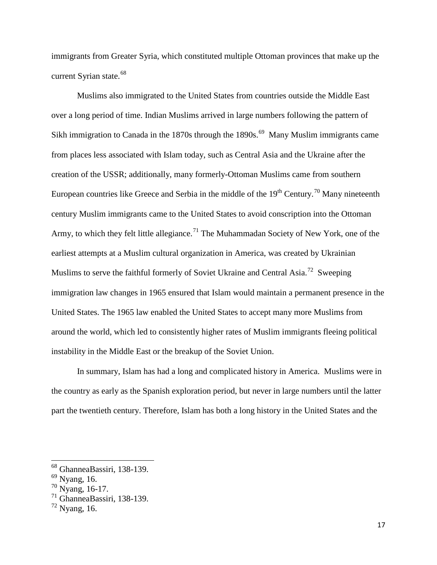immigrants from Greater Syria, which constituted multiple Ottoman provinces that make up the current Syrian state.<sup>[68](#page-23-0)</sup>

Muslims also immigrated to the United States from countries outside the Middle East over a long period of time. Indian Muslims arrived in large numbers following the pattern of Sikh immigration to Canada in the 1870s through the 1890s.<sup>69</sup> Many Muslim immigrants came from places less associated with Islam today, such as Central Asia and the Ukraine after the creation of the USSR; additionally, many formerly-Ottoman Muslims came from southern European countries like Greece and Serbia in the middle of the  $19<sup>th</sup>$  Century.<sup>[70](#page-23-2)</sup> Many nineteenth century Muslim immigrants came to the United States to avoid conscription into the Ottoman Army, to which they felt little allegiance.<sup>[71](#page-23-3)</sup> The Muhammadan Society of New York, one of the earliest attempts at a Muslim cultural organization in America, was created by Ukrainian Muslims to serve the faithful formerly of Soviet Ukraine and Central Asia.<sup>[72](#page-23-4)</sup> Sweeping immigration law changes in 1965 ensured that Islam would maintain a permanent presence in the United States. The 1965 law enabled the United States to accept many more Muslims from around the world, which led to consistently higher rates of Muslim immigrants fleeing political instability in the Middle East or the breakup of the Soviet Union.

In summary, Islam has had a long and complicated history in America. Muslims were in the country as early as the Spanish exploration period, but never in large numbers until the latter part the twentieth century. Therefore, Islam has both a long history in the United States and the

 $\overline{\phantom{a}}$ 

<span id="page-23-0"></span><sup>&</sup>lt;sup>68</sup> GhanneaBassiri, 138-139.<br><sup>69</sup> Nyang, 16.

<span id="page-23-1"></span> $^{69}$  Nyang, 16.<br> $^{70}$  Nyang, 16-17.

<span id="page-23-3"></span><span id="page-23-2"></span><sup>71</sup> GhanneaBassiri, 138-139.

<span id="page-23-4"></span> $^{72}$  Nyang, 16.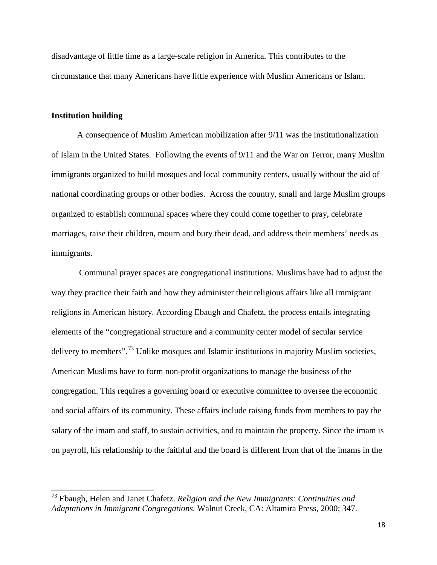disadvantage of little time as a large-scale religion in America. This contributes to the circumstance that many Americans have little experience with Muslim Americans or Islam.

#### **Institution building**

 $\overline{a}$ 

A consequence of Muslim American mobilization after 9/11 was the institutionalization of Islam in the United States. Following the events of 9/11 and the War on Terror, many Muslim immigrants organized to build mosques and local community centers, usually without the aid of national coordinating groups or other bodies. Across the country, small and large Muslim groups organized to establish communal spaces where they could come together to pray, celebrate marriages, raise their children, mourn and bury their dead, and address their members' needs as immigrants.

Communal prayer spaces are congregational institutions. Muslims have had to adjust the way they practice their faith and how they administer their religious affairs like all immigrant religions in American history. According Ebaugh and Chafetz, the process entails integrating elements of the "congregational structure and a community center model of secular service delivery to members".<sup>[73](#page-24-0)</sup> Unlike mosques and Islamic institutions in majority Muslim societies, American Muslims have to form non-profit organizations to manage the business of the congregation. This requires a governing board or executive committee to oversee the economic and social affairs of its community. These affairs include raising funds from members to pay the salary of the imam and staff, to sustain activities, and to maintain the property. Since the imam is on payroll, his relationship to the faithful and the board is different from that of the imams in the

<span id="page-24-0"></span><sup>73</sup> Ebaugh, Helen and Janet Chafetz. *Religion and the New Immigrants: Continuities and Adaptations in Immigrant Congregations.* Walnut Creek, CA: Altamira Press, 2000; 347.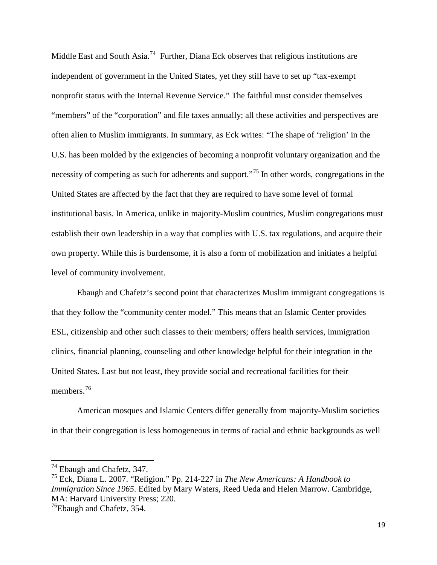Middle East and South Asia.<sup>[74](#page-25-0)</sup> Further, Diana Eck observes that religious institutions are independent of government in the United States, yet they still have to set up "tax-exempt nonprofit status with the Internal Revenue Service." The faithful must consider themselves "members" of the "corporation" and file taxes annually; all these activities and perspectives are often alien to Muslim immigrants. In summary, as Eck writes: "The shape of 'religion' in the U.S. has been molded by the exigencies of becoming a nonprofit voluntary organization and the necessity of competing as such for adherents and support."<sup>[75](#page-25-1)</sup> In other words, congregations in the United States are affected by the fact that they are required to have some level of formal institutional basis. In America, unlike in majority-Muslim countries, Muslim congregations must establish their own leadership in a way that complies with U.S. tax regulations, and acquire their own property. While this is burdensome, it is also a form of mobilization and initiates a helpful level of community involvement.

Ebaugh and Chafetz's second point that characterizes Muslim immigrant congregations is that they follow the "community center model." This means that an Islamic Center provides ESL, citizenship and other such classes to their members; offers health services, immigration clinics, financial planning, counseling and other knowledge helpful for their integration in the United States. Last but not least, they provide social and recreational facilities for their members<sup>76</sup>

American mosques and Islamic Centers differ generally from majority-Muslim societies in that their congregation is less homogeneous in terms of racial and ethnic backgrounds as well

<span id="page-25-0"></span><sup>&</sup>lt;sup>74</sup> Ebaugh and Chafetz, 347.

<span id="page-25-1"></span><sup>&</sup>lt;sup>75</sup> Eck, Diana L. 2007. "Religion." Pp. 214-227 in *The New Americans: A Handbook to Immigration Since 1965*. Edited by Mary Waters, Reed Ueda and Helen Marrow. Cambridge, MA: Harvard University Press; 220.

<span id="page-25-2"></span> $^{76}$ Ebaugh and Chafetz, 354.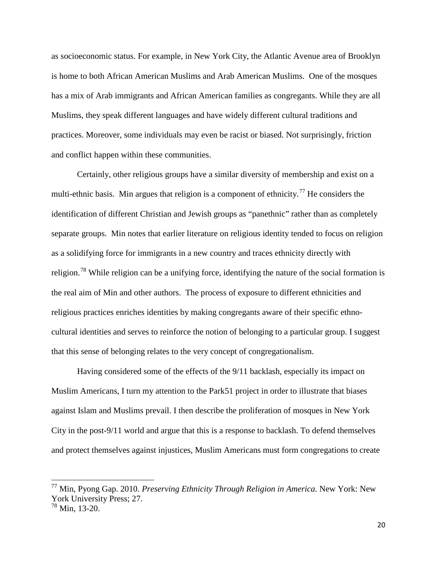as socioeconomic status. For example, in New York City, the Atlantic Avenue area of Brooklyn is home to both African American Muslims and Arab American Muslims. One of the mosques has a mix of Arab immigrants and African American families as congregants. While they are all Muslims, they speak different languages and have widely different cultural traditions and practices. Moreover, some individuals may even be racist or biased. Not surprisingly, friction and conflict happen within these communities.

Certainly, other religious groups have a similar diversity of membership and exist on a multi-ethnic basis. Min argues that religion is a component of ethnicity.<sup>[77](#page-26-0)</sup> He considers the identification of different Christian and Jewish groups as "panethnic" rather than as completely separate groups. Min notes that earlier literature on religious identity tended to focus on religion as a solidifying force for immigrants in a new country and traces ethnicity directly with religion.[78](#page-26-1) While religion can be a unifying force, identifying the nature of the social formation is the real aim of Min and other authors. The process of exposure to different ethnicities and religious practices enriches identities by making congregants aware of their specific ethnocultural identities and serves to reinforce the notion of belonging to a particular group. I suggest that this sense of belonging relates to the very concept of congregationalism.

Having considered some of the effects of the 9/11 backlash, especially its impact on Muslim Americans, I turn my attention to the Park51 project in order to illustrate that biases against Islam and Muslims prevail. I then describe the proliferation of mosques in New York City in the post-9/11 world and argue that this is a response to backlash. To defend themselves and protect themselves against injustices, Muslim Americans must form congregations to create

l

<span id="page-26-0"></span><sup>77</sup> Min, Pyong Gap. 2010. *Preserving Ethnicity Through Religion in America.* New York: New York University Press; 27.

<span id="page-26-1"></span><sup>78</sup> Min, 13-20.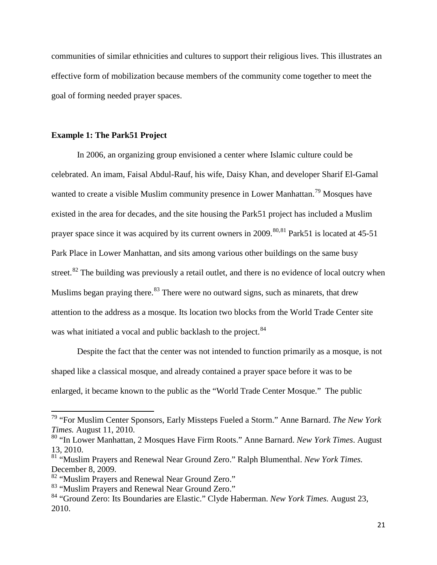communities of similar ethnicities and cultures to support their religious lives. This illustrates an effective form of mobilization because members of the community come together to meet the goal of forming needed prayer spaces.

#### **Example 1: The Park51 Project**

In 2006, an organizing group envisioned a center where Islamic culture could be celebrated. An imam, Faisal Abdul-Rauf, his wife, Daisy Khan, and developer Sharif El-Gamal wanted to create a visible Muslim community presence in Lower Manhattan.<sup>[79](#page-27-0)</sup> Mosques have existed in the area for decades, and the site housing the Park51 project has included a Muslim prayer space since it was acquired by its current owners in 2009.<sup>[80,](#page-27-1)[81](#page-27-2)</sup> Park51 is located at 45-51 Park Place in Lower Manhattan, and sits among various other buildings on the same busy street.<sup>[82](#page-27-3)</sup> The building was previously a retail outlet, and there is no evidence of local outcry when Muslims began praying there. $83$  There were no outward signs, such as minarets, that drew attention to the address as a mosque. Its location two blocks from the World Trade Center site was what initiated a vocal and public backlash to the project.<sup>[84](#page-27-5)</sup>

Despite the fact that the center was not intended to function primarily as a mosque, is not shaped like a classical mosque, and already contained a prayer space before it was to be enlarged, it became known to the public as the "World Trade Center Mosque." The public

 $\overline{\phantom{a}}$ 

<span id="page-27-0"></span><sup>79</sup> "For Muslim Center Sponsors, Early Missteps Fueled a Storm." Anne Barnard. *The New York Times.* August 11, 2010.

<span id="page-27-1"></span><sup>80</sup> "In Lower Manhattan, 2 Mosques Have Firm Roots." Anne Barnard. *New York Times*. August 13, 2010.

<span id="page-27-2"></span><sup>81</sup> "Muslim Prayers and Renewal Near Ground Zero." Ralph Blumenthal. *New York Times.* December 8, 2009.

<span id="page-27-3"></span><sup>82 &</sup>quot;Muslim Prayers and Renewal Near Ground Zero."

<span id="page-27-4"></span><sup>&</sup>lt;sup>83</sup> "Muslim Prayers and Renewal Near Ground Zero."

<span id="page-27-5"></span><sup>84</sup> "Ground Zero: Its Boundaries are Elastic." Clyde Haberman. *New York Times.* August 23, 2010.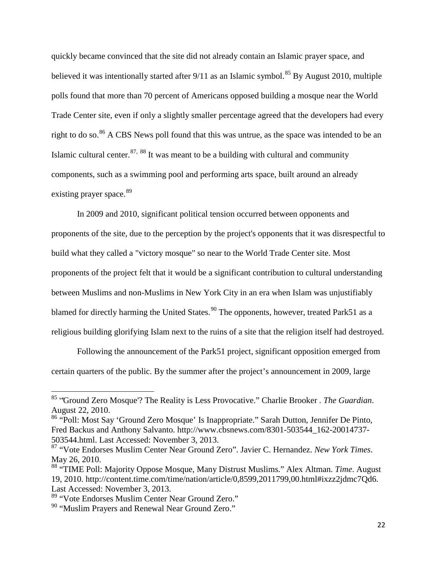quickly became convinced that the site did not already contain an Islamic prayer space, and believed it was intentionally started after  $9/11$  as an Islamic symbol.<sup>[85](#page-28-0)</sup> By August 2010, multiple polls found that more than 70 percent of Americans opposed building a mosque near the World Trade Center site, even if only a slightly smaller percentage agreed that the developers had every right to do so.<sup>[86](#page-28-1)</sup> A CBS News poll found that this was untrue, as the space was intended to be an Islamic cultural center.<sup>[87,](#page-28-2) [88](#page-28-3)</sup> It was meant to be a building with cultural and community components, such as a swimming pool and performing arts space, built around an already existing prayer space.<sup>[89](#page-28-4)</sup>

In 2009 and 2010, significant political tension occurred between opponents and proponents of the site, due to the perception by the project's opponents that it was disrespectful to build what they called a "victory mosque" so near to the World Trade Center site. Most proponents of the project felt that it would be a significant contribution to cultural understanding between Muslims and non-Muslims in New York City in an era when Islam was unjustifiably blamed for directly harming the United States.<sup>[90](#page-28-5)</sup> The opponents, however, treated Park51 as a religious building glorifying Islam next to the ruins of a site that the religion itself had destroyed.

Following the announcement of the Park51 project, significant opposition emerged from certain quarters of the public. By the summer after the project's announcement in 2009, large

<span id="page-28-0"></span><sup>&</sup>lt;sup>85</sup> "Ground Zero Mosque"? The Reality is Less Provocative." Charlie Brooker *. The Guardian*. August 22, 2010.

<span id="page-28-1"></span><sup>86</sup> "Poll: Most Say 'Ground Zero Mosque' Is Inappropriate." Sarah Dutton, Jennifer De Pinto, Fred Backus and Anthony Salvanto*.* http://www.cbsnews.com/8301-503544\_162-20014737- 503544.html. Last Accessed: November 3, 2013.

<span id="page-28-2"></span><sup>87</sup> "Vote Endorses Muslim Center Near Ground Zero". Javier C. Hernandez. *New York Times*. May 26, 2010.<br><sup>88</sup> "TIME Poll: Majority Oppose Mosque, Many Distrust Muslims." Alex Altman. *Time*. August

<span id="page-28-3"></span><sup>19, 2010.</sup> http://content.time.com/time/nation/article/0,8599,2011799,00.html#ixzz2jdmc7Qd6. Last Accessed: November 3, 2013.

<span id="page-28-4"></span><sup>89</sup> "Vote Endorses Muslim Center Near Ground Zero."

<span id="page-28-5"></span><sup>&</sup>lt;sup>90</sup> "Muslim Prayers and Renewal Near Ground Zero."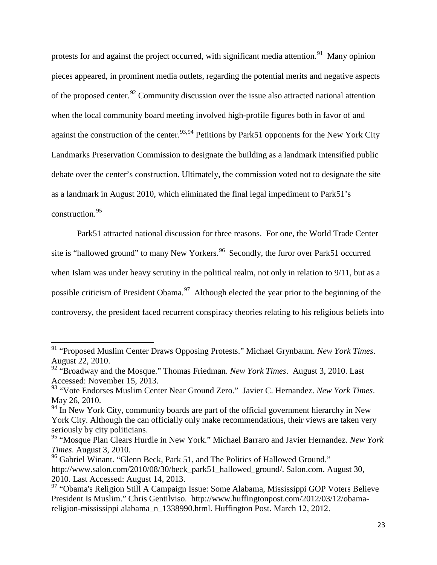protests for and against the project occurred, with significant media attention.<sup>91</sup> Many opinion pieces appeared, in prominent media outlets, regarding the potential merits and negative aspects of the proposed center.<sup>[92](#page-29-1)</sup> Community discussion over the issue also attracted national attention when the local community board meeting involved high-profile figures both in favor of and against the construction of the center.<sup>[93,](#page-29-2)[94](#page-29-3)</sup> Petitions by Park51 opponents for the New York City Landmarks Preservation Commission to designate the building as a landmark intensified public debate over the center's construction. Ultimately, the commission voted not to designate the site as a landmark in August 2010, which eliminated the final legal impediment to Park51's construction.[95](#page-29-4)

Park51 attracted national discussion for three reasons. For one, the World Trade Center site is "hallowed ground" to many New Yorkers.<sup>[96](#page-29-5)</sup> Secondly, the furor over Park51 occurred when Islam was under heavy scrutiny in the political realm, not only in relation to 9/11, but as a possible criticism of President Obama.<sup>[97](#page-29-6)</sup> Although elected the year prior to the beginning of the controversy, the president faced recurrent conspiracy theories relating to his religious beliefs into

<span id="page-29-0"></span><sup>91</sup> "Proposed Muslim Center Draws Opposing Protests." Michael Grynbaum. *New York Times*. August 22, 2010.

<span id="page-29-1"></span><sup>92</sup> "Broadway and the Mosque." Thomas Friedman. *New York Times*. August 3, 2010. Last Accessed: November 15, 2013.

<span id="page-29-2"></span><sup>93</sup> "Vote Endorses Muslim Center Near Ground Zero." Javier C. Hernandez. *New York Times*. May 26, 2010.

<span id="page-29-3"></span> $94$  In New York City, community boards are part of the official government hierarchy in New York City. Although the can officially only make recommendations, their views are taken very seriously by city politicians.

<span id="page-29-4"></span><sup>95</sup> "Mosque Plan Clears Hurdle in New York." Michael Barraro and Javier Hernandez. *New York Times*. August 3, 2010.

<span id="page-29-5"></span><sup>&</sup>lt;sup>96</sup> Gabriel Winant. "Glenn Beck, Park 51, and The Politics of Hallowed Ground." http://www.salon.com/2010/08/30/beck\_park51\_hallowed\_ground/. Salon.com. August 30, 2010. Last Accessed: August 14, 2013.

<span id="page-29-6"></span><sup>97</sup> "Obama's Religion Still A Campaign Issue: Some Alabama, Mississippi GOP Voters Believe President Is Muslim." Chris Gentilviso. http://www.huffingtonpost.com/2012/03/12/obamareligion-mississippi alabama\_n\_1338990.html. Huffington Post. March 12, 2012.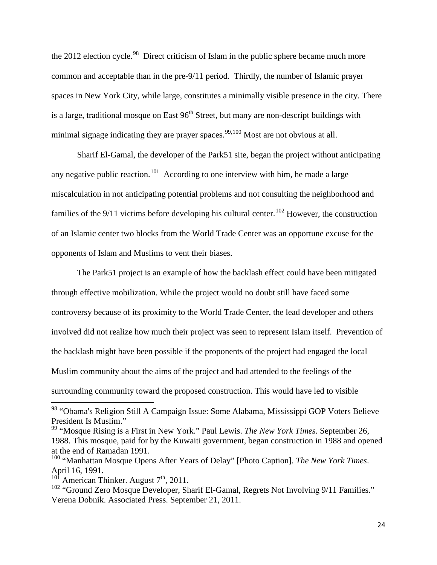the 2012 election cycle.<sup>98</sup> Direct criticism of Islam in the public sphere became much more common and acceptable than in the pre-9/11 period. Thirdly, the number of Islamic prayer spaces in New York City, while large, constitutes a minimally visible presence in the city. There is a large, traditional mosque on East  $96<sup>th</sup>$  Street, but many are non-descript buildings with minimal signage indicating they are prayer spaces.<sup>[99,](#page-30-1)[100](#page-30-2)</sup> Most are not obvious at all.

Sharif El-Gamal, the developer of the Park51 site, began the project without anticipating any negative public reaction.<sup>[101](#page-30-3)</sup> According to one interview with him, he made a large miscalculation in not anticipating potential problems and not consulting the neighborhood and families of the  $9/11$  victims before developing his cultural center.<sup>[102](#page-30-4)</sup> However, the construction of an Islamic center two blocks from the World Trade Center was an opportune excuse for the opponents of Islam and Muslims to vent their biases.

The Park51 project is an example of how the backlash effect could have been mitigated through effective mobilization. While the project would no doubt still have faced some controversy because of its proximity to the World Trade Center, the lead developer and others involved did not realize how much their project was seen to represent Islam itself. Prevention of the backlash might have been possible if the proponents of the project had engaged the local Muslim community about the aims of the project and had attended to the feelings of the surrounding community toward the proposed construction. This would have led to visible

<span id="page-30-0"></span><sup>&</sup>lt;sup>98</sup> "Obama's Religion Still A Campaign Issue: Some Alabama, Mississippi GOP Voters Believe President Is Muslim."

<span id="page-30-1"></span><sup>99</sup> "Mosque Rising is a First in New York." Paul Lewis. *The New York Times*. September 26, 1988. This mosque, paid for by the Kuwaiti government, began construction in 1988 and opened at the end of Ramadan 1991.

<span id="page-30-2"></span><sup>100</sup> "Manhattan Mosque Opens After Years of Delay" [Photo Caption]. *The New York Times*. April 16, 1991.

<span id="page-30-3"></span> $10^{\text{1}}$  American Thinker. August  $7^{\text{th}}$ , 2011.

<span id="page-30-4"></span><sup>&</sup>lt;sup>102</sup> "Ground Zero Mosque Developer, Sharif El-Gamal, Regrets Not Involving 9/11 Families." Verena Dobnik. Associated Press. September 21, 2011.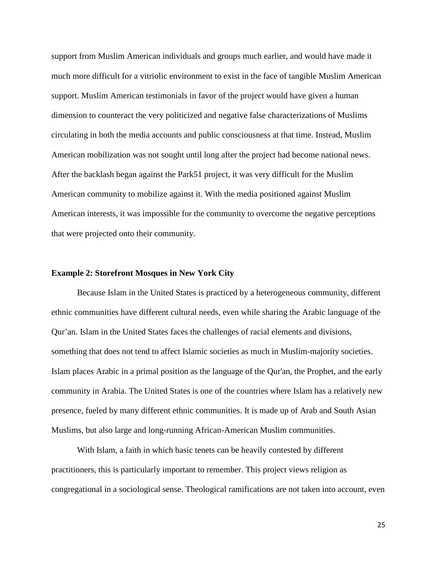support from Muslim American individuals and groups much earlier, and would have made it much more difficult for a vitriolic environment to exist in the face of tangible Muslim American support. Muslim American testimonials in favor of the project would have given a human dimension to counteract the very politicized and negative false characterizations of Muslims circulating in both the media accounts and public consciousness at that time. Instead, Muslim American mobilization was not sought until long after the project had become national news. After the backlash began against the Park51 project, it was very difficult for the Muslim American community to mobilize against it. With the media positioned against Muslim American interests, it was impossible for the community to overcome the negative perceptions that were projected onto their community.

#### **Example 2: Storefront Mosques in New York City**

Because Islam in the United States is practiced by a heterogeneous community, different ethnic communities have different cultural needs, even while sharing the Arabic language of the Qur'an. Islam in the United States faces the challenges of racial elements and divisions, something that does not tend to affect Islamic societies as much in Muslim-majority societies. Islam places Arabic in a primal position as the language of the Qur'an, the Prophet, and the early community in Arabia. The United States is one of the countries where Islam has a relatively new presence, fueled by many different ethnic communities. It is made up of Arab and South Asian Muslims, but also large and long-running African-American Muslim communities.

With Islam, a faith in which basic tenets can be heavily contested by different practitioners, this is particularly important to remember. This project views religion as congregational in a sociological sense. Theological ramifications are not taken into account, even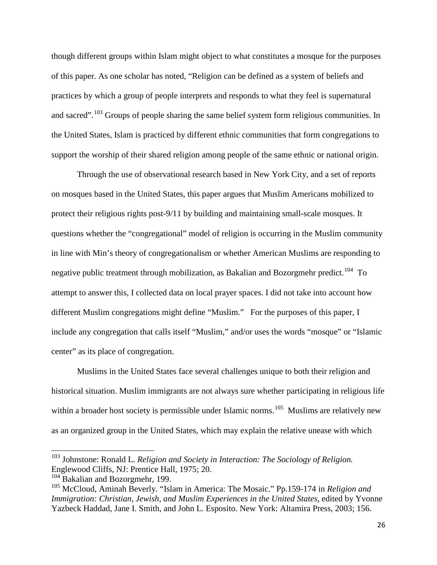though different groups within Islam might object to what constitutes a mosque for the purposes of this paper. As one scholar has noted, "Religion can be defined as a system of beliefs and practices by which a group of people interprets and responds to what they feel is supernatural and sacred".<sup>[103](#page-32-0)</sup> Groups of people sharing the same belief system form religious communities. In the United States, Islam is practiced by different ethnic communities that form congregations to support the worship of their shared religion among people of the same ethnic or national origin.

Through the use of observational research based in New York City, and a set of reports on mosques based in the United States, this paper argues that Muslim Americans mobilized to protect their religious rights post-9/11 by building and maintaining small-scale mosques. It questions whether the "congregational" model of religion is occurring in the Muslim community in line with Min's theory of congregationalism or whether American Muslims are responding to negative public treatment through mobilization, as Bakalian and Bozorgmehr predict.<sup>104</sup> To attempt to answer this, I collected data on local prayer spaces. I did not take into account how different Muslim congregations might define "Muslim." For the purposes of this paper, I include any congregation that calls itself "Muslim," and/or uses the words "mosque" or "Islamic center" as its place of congregation.

Muslims in the United States face several challenges unique to both their religion and historical situation. Muslim immigrants are not always sure whether participating in religious life within a broader host society is permissible under Islamic norms.<sup>[105](#page-32-2)</sup> Muslims are relatively new as an organized group in the United States, which may explain the relative unease with which

 $\overline{\phantom{a}}$ 

<span id="page-32-0"></span><sup>103</sup> Johnstone: Ronald L. *Religion and Society in Interaction: The Sociology of Religion.* Englewood Cliffs, NJ: Prentice Hall, 1975; 20.

<span id="page-32-1"></span><sup>&</sup>lt;sup>104</sup> Bakalian and Bozorgmehr, 199.

<span id="page-32-2"></span><sup>105</sup> McCloud, Aminah Beverly. "Islam in America: The Mosaic." Pp.159-174 in *Religion and Immigration: Christian, Jewish, and Muslim Experiences in the United States*, edited by Yvonne Yazbeck Haddad, Jane I. Smith, and John L. Esposito. New York: Altamira Press, 2003; 156.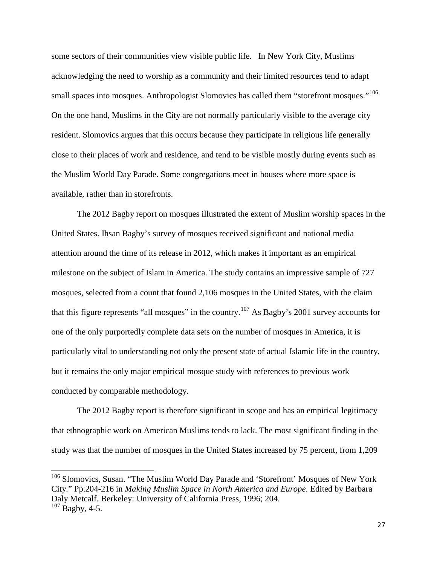some sectors of their communities view visible public life. In New York City, Muslims acknowledging the need to worship as a community and their limited resources tend to adapt small spaces into mosques. Anthropologist Slomovics has called them "storefront mosques."<sup>[106](#page-33-0)</sup> On the one hand, Muslims in the City are not normally particularly visible to the average city resident. Slomovics argues that this occurs because they participate in religious life generally close to their places of work and residence, and tend to be visible mostly during events such as the Muslim World Day Parade. Some congregations meet in houses where more space is available, rather than in storefronts.

The 2012 Bagby report on mosques illustrated the extent of Muslim worship spaces in the United States. Ihsan Bagby's survey of mosques received significant and national media attention around the time of its release in 2012, which makes it important as an empirical milestone on the subject of Islam in America. The study contains an impressive sample of 727 mosques, selected from a count that found 2,106 mosques in the United States, with the claim that this figure represents "all mosques" in the country.[107](#page-33-1) As Bagby's 2001 survey accounts for one of the only purportedly complete data sets on the number of mosques in America, it is particularly vital to understanding not only the present state of actual Islamic life in the country, but it remains the only major empirical mosque study with references to previous work conducted by comparable methodology.

The 2012 Bagby report is therefore significant in scope and has an empirical legitimacy that ethnographic work on American Muslims tends to lack. The most significant finding in the study was that the number of mosques in the United States increased by 75 percent, from 1,209

l

<span id="page-33-1"></span><span id="page-33-0"></span><sup>&</sup>lt;sup>106</sup> Slomovics, Susan. "The Muslim World Day Parade and 'Storefront' Mosques of New York City." Pp.204-216 in *Making Muslim Space in North America and Europe*. Edited by Barbara Daly Metcalf. Berkeley: University of California Press, 1996; 204.  $107$  Bagby, 4-5.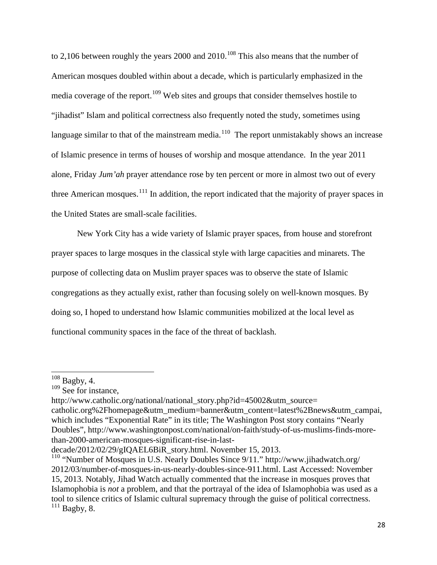to 2,106 between roughly the years 2000 and 2010.<sup>[108](#page-34-0)</sup> This also means that the number of American mosques doubled within about a decade, which is particularly emphasized in the media coverage of the report.<sup>[109](#page-34-1)</sup> Web sites and groups that consider themselves hostile to "jihadist" Islam and political correctness also frequently noted the study, sometimes using language similar to that of the mainstream media.<sup>110</sup> The report unmistakably shows an increase of Islamic presence in terms of houses of worship and mosque attendance. In the year 2011 alone, Friday *Jum'ah* prayer attendance rose by ten percent or more in almost two out of every three American mosques.<sup>[111](#page-34-3)</sup> In addition, the report indicated that the majority of prayer spaces in the United States are small-scale facilities.

New York City has a wide variety of Islamic prayer spaces, from house and storefront prayer spaces to large mosques in the classical style with large capacities and minarets. The purpose of collecting data on Muslim prayer spaces was to observe the state of Islamic congregations as they actually exist, rather than focusing solely on well-known mosques. By doing so, I hoped to understand how Islamic communities mobilized at the local level as functional community spaces in the face of the threat of backlash.

l

<span id="page-34-0"></span> $108$  Bagby, 4.

<span id="page-34-1"></span><sup>&</sup>lt;sup>109</sup> See for instance,

http://www.catholic.org/national/national\_story.php?id=45002&utm\_source= catholic.org%2Fhomepage&utm\_medium=banner&utm\_content=latest%2Bnews&utm\_campai, which includes "Exponential Rate" in its title; The Washington Post story contains "Nearly Doubles", http://www.washingtonpost.com/national/on-faith/study-of-us-muslims-finds-morethan-2000-american-mosques-significant-rise-in-last-

decade/2012/02/29/gIQAEL6BiR\_story.html. November 15, 2013.

<span id="page-34-3"></span><span id="page-34-2"></span><sup>&</sup>lt;sup>110</sup> "Number of Mosques in U.S. Nearly Doubles Since 9/11." http://www.jihadwatch.org/ 2012/03/number-of-mosques-in-us-nearly-doubles-since-911.html. Last Accessed: November 15, 2013. Notably, Jihad Watch actually commented that the increase in mosques proves that Islamophobia is *not* a problem, and that the portrayal of the idea of Islamophobia was used as a tool to silence critics of Islamic cultural supremacy through the guise of political correctness.  $111$  Bagby, 8.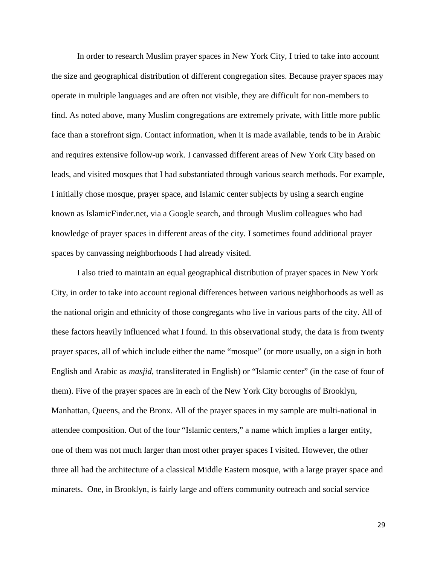In order to research Muslim prayer spaces in New York City, I tried to take into account the size and geographical distribution of different congregation sites. Because prayer spaces may operate in multiple languages and are often not visible, they are difficult for non-members to find. As noted above, many Muslim congregations are extremely private, with little more public face than a storefront sign. Contact information, when it is made available, tends to be in Arabic and requires extensive follow-up work. I canvassed different areas of New York City based on leads, and visited mosques that I had substantiated through various search methods. For example, I initially chose mosque, prayer space, and Islamic center subjects by using a search engine known as IslamicFinder.net, via a Google search, and through Muslim colleagues who had knowledge of prayer spaces in different areas of the city. I sometimes found additional prayer spaces by canvassing neighborhoods I had already visited.

I also tried to maintain an equal geographical distribution of prayer spaces in New York City, in order to take into account regional differences between various neighborhoods as well as the national origin and ethnicity of those congregants who live in various parts of the city. All of these factors heavily influenced what I found. In this observational study, the data is from twenty prayer spaces, all of which include either the name "mosque" (or more usually, on a sign in both English and Arabic as *masjid*, transliterated in English) or "Islamic center" (in the case of four of them). Five of the prayer spaces are in each of the New York City boroughs of Brooklyn, Manhattan, Queens, and the Bronx. All of the prayer spaces in my sample are multi-national in attendee composition. Out of the four "Islamic centers," a name which implies a larger entity, one of them was not much larger than most other prayer spaces I visited. However, the other three all had the architecture of a classical Middle Eastern mosque, with a large prayer space and minarets. One, in Brooklyn, is fairly large and offers community outreach and social service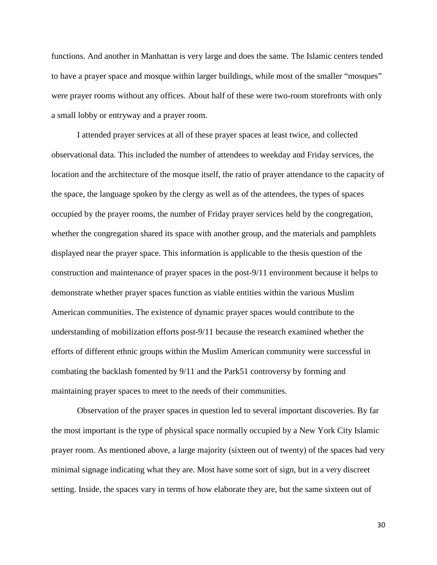functions. And another in Manhattan is very large and does the same. The Islamic centers tended to have a prayer space and mosque within larger buildings, while most of the smaller "mosques" were prayer rooms without any offices. About half of these were two-room storefronts with only a small lobby or entryway and a prayer room.

I attended prayer services at all of these prayer spaces at least twice, and collected observational data. This included the number of attendees to weekday and Friday services, the location and the architecture of the mosque itself, the ratio of prayer attendance to the capacity of the space, the language spoken by the clergy as well as of the attendees, the types of spaces occupied by the prayer rooms, the number of Friday prayer services held by the congregation, whether the congregation shared its space with another group, and the materials and pamphlets displayed near the prayer space. This information is applicable to the thesis question of the construction and maintenance of prayer spaces in the post-9/11 environment because it helps to demonstrate whether prayer spaces function as viable entities within the various Muslim American communities. The existence of dynamic prayer spaces would contribute to the understanding of mobilization efforts post-9/11 because the research examined whether the efforts of different ethnic groups within the Muslim American community were successful in combating the backlash fomented by 9/11 and the Park51 controversy by forming and maintaining prayer spaces to meet to the needs of their communities.

Observation of the prayer spaces in question led to several important discoveries. By far the most important is the type of physical space normally occupied by a New York City Islamic prayer room. As mentioned above, a large majority (sixteen out of twenty) of the spaces had very minimal signage indicating what they are. Most have some sort of sign, but in a very discreet setting. Inside, the spaces vary in terms of how elaborate they are, but the same sixteen out of

30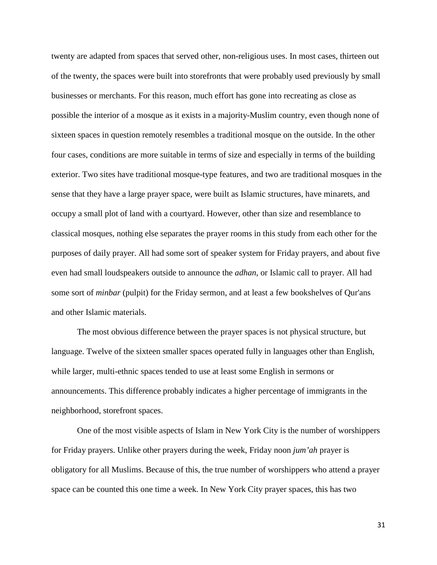twenty are adapted from spaces that served other, non-religious uses. In most cases, thirteen out of the twenty, the spaces were built into storefronts that were probably used previously by small businesses or merchants. For this reason, much effort has gone into recreating as close as possible the interior of a mosque as it exists in a majority-Muslim country, even though none of sixteen spaces in question remotely resembles a traditional mosque on the outside. In the other four cases, conditions are more suitable in terms of size and especially in terms of the building exterior. Two sites have traditional mosque-type features, and two are traditional mosques in the sense that they have a large prayer space, were built as Islamic structures, have minarets, and occupy a small plot of land with a courtyard. However, other than size and resemblance to classical mosques, nothing else separates the prayer rooms in this study from each other for the purposes of daily prayer. All had some sort of speaker system for Friday prayers, and about five even had small loudspeakers outside to announce the *adhan*, or Islamic call to prayer. All had some sort of *minbar* (pulpit) for the Friday sermon, and at least a few bookshelves of Qur'ans and other Islamic materials.

The most obvious difference between the prayer spaces is not physical structure, but language. Twelve of the sixteen smaller spaces operated fully in languages other than English, while larger, multi-ethnic spaces tended to use at least some English in sermons or announcements. This difference probably indicates a higher percentage of immigrants in the neighborhood, storefront spaces.

One of the most visible aspects of Islam in New York City is the number of worshippers for Friday prayers. Unlike other prayers during the week, Friday noon *jum'ah* prayer is obligatory for all Muslims. Because of this, the true number of worshippers who attend a prayer space can be counted this one time a week. In New York City prayer spaces, this has two

31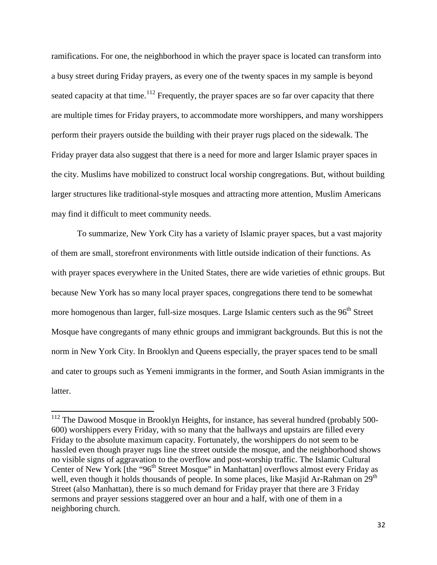ramifications. For one, the neighborhood in which the prayer space is located can transform into a busy street during Friday prayers, as every one of the twenty spaces in my sample is beyond seated capacity at that time.<sup>[112](#page-38-0)</sup> Frequently, the prayer spaces are so far over capacity that there are multiple times for Friday prayers, to accommodate more worshippers, and many worshippers perform their prayers outside the building with their prayer rugs placed on the sidewalk. The Friday prayer data also suggest that there is a need for more and larger Islamic prayer spaces in the city. Muslims have mobilized to construct local worship congregations. But, without building larger structures like traditional-style mosques and attracting more attention, Muslim Americans may find it difficult to meet community needs.

To summarize, New York City has a variety of Islamic prayer spaces, but a vast majority of them are small, storefront environments with little outside indication of their functions. As with prayer spaces everywhere in the United States, there are wide varieties of ethnic groups. But because New York has so many local prayer spaces, congregations there tend to be somewhat more homogenous than larger, full-size mosques. Large Islamic centers such as the 96<sup>th</sup> Street Mosque have congregants of many ethnic groups and immigrant backgrounds. But this is not the norm in New York City. In Brooklyn and Queens especially, the prayer spaces tend to be small and cater to groups such as Yemeni immigrants in the former, and South Asian immigrants in the latter.

 $\overline{\phantom{a}}$ 

<span id="page-38-0"></span> $112$  The Dawood Mosque in Brooklyn Heights, for instance, has several hundred (probably 500-600) worshippers every Friday, with so many that the hallways and upstairs are filled every Friday to the absolute maximum capacity. Fortunately, the worshippers do not seem to be hassled even though prayer rugs line the street outside the mosque, and the neighborhood shows no visible signs of aggravation to the overflow and post-worship traffic. The Islamic Cultural Center of New York [the "96<sup>th</sup> Street Mosque" in Manhattan] overflows almost every Friday as well, even though it holds thousands of people. In some places, like Masjid Ar-Rahman on 29<sup>th</sup> Street (also Manhattan), there is so much demand for Friday prayer that there are 3 Friday sermons and prayer sessions staggered over an hour and a half, with one of them in a neighboring church.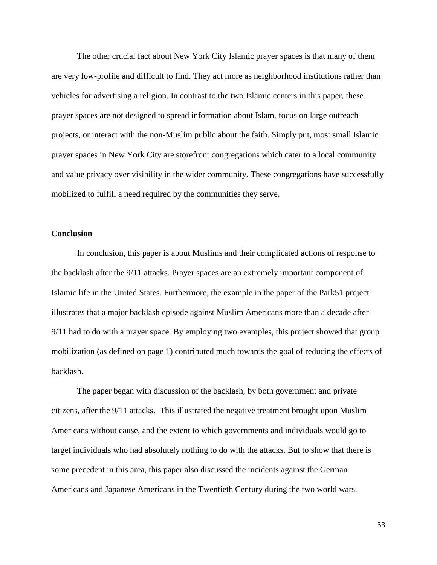The other crucial fact about New York City Islamic prayer spaces is that many of them are very low-profile and difficult to find. They act more as neighborhood institutions rather than vehicles for advertising a religion. In contrast to the two Islamic centers in this paper, these prayer spaces are not designed to spread information about Islam, focus on large outreach projects, or interact with the non-Muslim public about the faith. Simply put, most small Islamic prayer spaces in New York City are storefront congregations which cater to a local community and value privacy over visibility in the wider community. These congregations have successfully mobilized to fulfill a need required by the communities they serve.

#### **Conclusion**

In conclusion, this paper is about Muslims and their complicated actions of response to the backlash after the 9/11 attacks. Prayer spaces are an extremely important component of Islamic life in the United States. Furthermore, the example in the paper of the Park51 project illustrates that a major backlash episode against Muslim Americans more than a decade after 9/11 had to do with a prayer space. By employing two examples, this project showed that group mobilization (as defined on page 1) contributed much towards the goal of reducing the effects of backlash.

The paper began with discussion of the backlash, by both government and private citizens, after the 9/11 attacks. This illustrated the negative treatment brought upon Muslim Americans without cause, and the extent to which governments and individuals would go to target individuals who had absolutely nothing to do with the attacks. But to show that there is some precedent in this area, this paper also discussed the incidents against the German Americans and Japanese Americans in the Twentieth Century during the two world wars.

33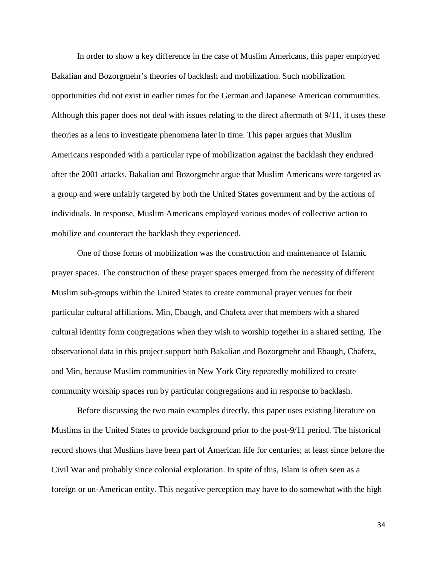In order to show a key difference in the case of Muslim Americans, this paper employed Bakalian and Bozorgmehr's theories of backlash and mobilization. Such mobilization opportunities did not exist in earlier times for the German and Japanese American communities. Although this paper does not deal with issues relating to the direct aftermath of 9/11, it uses these theories as a lens to investigate phenomena later in time. This paper argues that Muslim Americans responded with a particular type of mobilization against the backlash they endured after the 2001 attacks. Bakalian and Bozorgmehr argue that Muslim Americans were targeted as a group and were unfairly targeted by both the United States government and by the actions of individuals. In response, Muslim Americans employed various modes of collective action to mobilize and counteract the backlash they experienced.

One of those forms of mobilization was the construction and maintenance of Islamic prayer spaces. The construction of these prayer spaces emerged from the necessity of different Muslim sub-groups within the United States to create communal prayer venues for their particular cultural affiliations. Min, Ebaugh, and Chafetz aver that members with a shared cultural identity form congregations when they wish to worship together in a shared setting. The observational data in this project support both Bakalian and Bozorgmehr and Ebaugh, Chafetz, and Min, because Muslim communities in New York City repeatedly mobilized to create community worship spaces run by particular congregations and in response to backlash.

Before discussing the two main examples directly, this paper uses existing literature on Muslims in the United States to provide background prior to the post-9/11 period. The historical record shows that Muslims have been part of American life for centuries; at least since before the Civil War and probably since colonial exploration. In spite of this, Islam is often seen as a foreign or un-American entity. This negative perception may have to do somewhat with the high

34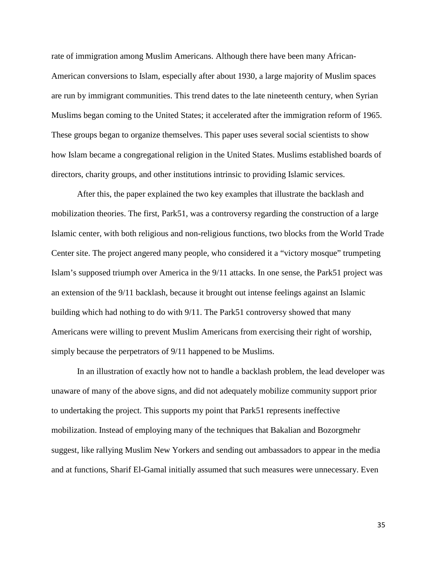rate of immigration among Muslim Americans. Although there have been many African-American conversions to Islam, especially after about 1930, a large majority of Muslim spaces are run by immigrant communities. This trend dates to the late nineteenth century, when Syrian Muslims began coming to the United States; it accelerated after the immigration reform of 1965. These groups began to organize themselves. This paper uses several social scientists to show how Islam became a congregational religion in the United States. Muslims established boards of directors, charity groups, and other institutions intrinsic to providing Islamic services.

 After this, the paper explained the two key examples that illustrate the backlash and mobilization theories. The first, Park51, was a controversy regarding the construction of a large Islamic center, with both religious and non-religious functions, two blocks from the World Trade Center site. The project angered many people, who considered it a "victory mosque" trumpeting Islam's supposed triumph over America in the 9/11 attacks. In one sense, the Park51 project was an extension of the 9/11 backlash, because it brought out intense feelings against an Islamic building which had nothing to do with 9/11. The Park51 controversy showed that many Americans were willing to prevent Muslim Americans from exercising their right of worship, simply because the perpetrators of 9/11 happened to be Muslims.

In an illustration of exactly how not to handle a backlash problem, the lead developer was unaware of many of the above signs, and did not adequately mobilize community support prior to undertaking the project. This supports my point that Park51 represents ineffective mobilization. Instead of employing many of the techniques that Bakalian and Bozorgmehr suggest, like rallying Muslim New Yorkers and sending out ambassadors to appear in the media and at functions, Sharif El-Gamal initially assumed that such measures were unnecessary. Even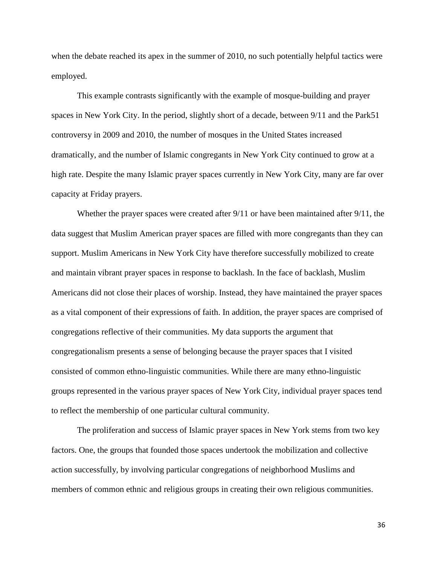when the debate reached its apex in the summer of 2010, no such potentially helpful tactics were employed.

This example contrasts significantly with the example of mosque-building and prayer spaces in New York City. In the period, slightly short of a decade, between 9/11 and the Park51 controversy in 2009 and 2010, the number of mosques in the United States increased dramatically, and the number of Islamic congregants in New York City continued to grow at a high rate. Despite the many Islamic prayer spaces currently in New York City, many are far over capacity at Friday prayers.

Whether the prayer spaces were created after 9/11 or have been maintained after 9/11, the data suggest that Muslim American prayer spaces are filled with more congregants than they can support. Muslim Americans in New York City have therefore successfully mobilized to create and maintain vibrant prayer spaces in response to backlash. In the face of backlash, Muslim Americans did not close their places of worship. Instead, they have maintained the prayer spaces as a vital component of their expressions of faith. In addition, the prayer spaces are comprised of congregations reflective of their communities. My data supports the argument that congregationalism presents a sense of belonging because the prayer spaces that I visited consisted of common ethno-linguistic communities. While there are many ethno-linguistic groups represented in the various prayer spaces of New York City, individual prayer spaces tend to reflect the membership of one particular cultural community.

The proliferation and success of Islamic prayer spaces in New York stems from two key factors. One, the groups that founded those spaces undertook the mobilization and collective action successfully, by involving particular congregations of neighborhood Muslims and members of common ethnic and religious groups in creating their own religious communities.

36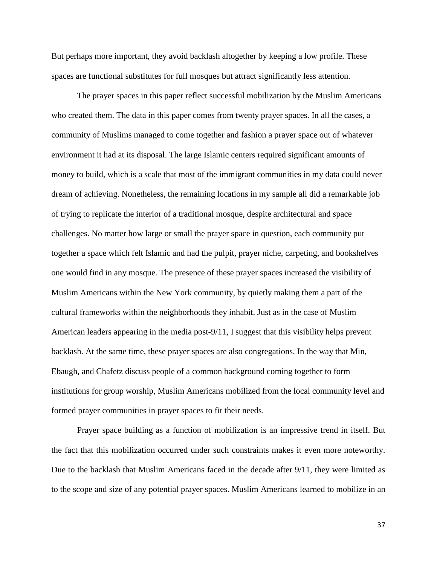But perhaps more important, they avoid backlash altogether by keeping a low profile. These spaces are functional substitutes for full mosques but attract significantly less attention.

The prayer spaces in this paper reflect successful mobilization by the Muslim Americans who created them. The data in this paper comes from twenty prayer spaces. In all the cases, a community of Muslims managed to come together and fashion a prayer space out of whatever environment it had at its disposal. The large Islamic centers required significant amounts of money to build, which is a scale that most of the immigrant communities in my data could never dream of achieving. Nonetheless, the remaining locations in my sample all did a remarkable job of trying to replicate the interior of a traditional mosque, despite architectural and space challenges. No matter how large or small the prayer space in question, each community put together a space which felt Islamic and had the pulpit, prayer niche, carpeting, and bookshelves one would find in any mosque. The presence of these prayer spaces increased the visibility of Muslim Americans within the New York community, by quietly making them a part of the cultural frameworks within the neighborhoods they inhabit. Just as in the case of Muslim American leaders appearing in the media post-9/11, I suggest that this visibility helps prevent backlash. At the same time, these prayer spaces are also congregations. In the way that Min, Ebaugh, and Chafetz discuss people of a common background coming together to form institutions for group worship, Muslim Americans mobilized from the local community level and formed prayer communities in prayer spaces to fit their needs.

Prayer space building as a function of mobilization is an impressive trend in itself. But the fact that this mobilization occurred under such constraints makes it even more noteworthy. Due to the backlash that Muslim Americans faced in the decade after 9/11, they were limited as to the scope and size of any potential prayer spaces. Muslim Americans learned to mobilize in an

37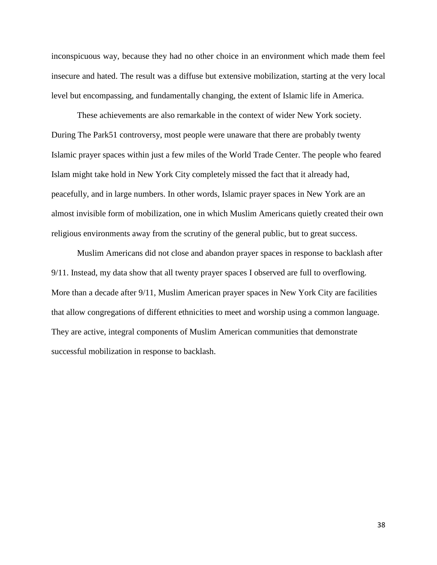inconspicuous way, because they had no other choice in an environment which made them feel insecure and hated. The result was a diffuse but extensive mobilization, starting at the very local level but encompassing, and fundamentally changing, the extent of Islamic life in America.

These achievements are also remarkable in the context of wider New York society. During The Park51 controversy, most people were unaware that there are probably twenty Islamic prayer spaces within just a few miles of the World Trade Center. The people who feared Islam might take hold in New York City completely missed the fact that it already had, peacefully, and in large numbers. In other words, Islamic prayer spaces in New York are an almost invisible form of mobilization, one in which Muslim Americans quietly created their own religious environments away from the scrutiny of the general public, but to great success.

Muslim Americans did not close and abandon prayer spaces in response to backlash after 9/11. Instead, my data show that all twenty prayer spaces I observed are full to overflowing. More than a decade after 9/11, Muslim American prayer spaces in New York City are facilities that allow congregations of different ethnicities to meet and worship using a common language. They are active, integral components of Muslim American communities that demonstrate successful mobilization in response to backlash.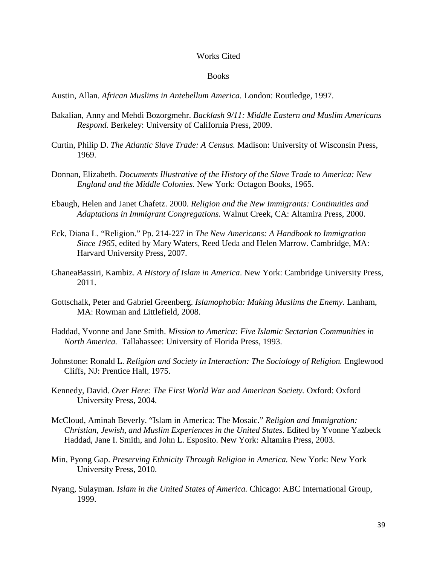#### Works Cited

#### Books

Austin, Allan. *African Muslims in Antebellum America*. London: Routledge, 1997.

- Bakalian, Anny and Mehdi Bozorgmehr. *Backlash 9/11: Middle Eastern and Muslim Americans Respond.* Berkeley: University of California Press, 2009.
- Curtin, Philip D. *The Atlantic Slave Trade: A Census.* Madison: University of Wisconsin Press, 1969.
- Donnan, Elizabeth. *Documents Illustrative of the History of the Slave Trade to America: New England and the Middle Colonies.* New York: Octagon Books, 1965.
- Ebaugh, Helen and Janet Chafetz. 2000. *Religion and the New Immigrants: Continuities and Adaptations in Immigrant Congregations.* Walnut Creek, CA: Altamira Press, 2000.
- Eck, Diana L. "Religion." Pp. 214-227 in *The New Americans: A Handbook to Immigration Since 1965*, edited by Mary Waters, Reed Ueda and Helen Marrow. Cambridge, MA: Harvard University Press, 2007.
- GhaneaBassiri, Kambiz. *A History of Islam in America*. New York: Cambridge University Press, 2011.
- Gottschalk, Peter and Gabriel Greenberg. *Islamophobia: Making Muslims the Enemy.* Lanham, MA: Rowman and Littlefield, 2008.
- Haddad, Yvonne and Jane Smith. *Mission to America: Five Islamic Sectarian Communities in North America.* Tallahassee: University of Florida Press, 1993.
- Johnstone: Ronald L. *Religion and Society in Interaction: The Sociology of Religion.* Englewood Cliffs, NJ: Prentice Hall, 1975.
- Kennedy, David. *Over Here: The First World War and American Society.* Oxford: Oxford University Press, 2004.
- McCloud, Aminah Beverly. "Islam in America: The Mosaic." *Religion and Immigration: Christian, Jewish, and Muslim Experiences in the United States*. Edited by Yvonne Yazbeck Haddad, Jane I. Smith, and John L. Esposito. New York: Altamira Press, 2003.
- Min, Pyong Gap. *Preserving Ethnicity Through Religion in America.* New York: New York University Press, 2010.
- Nyang, Sulayman. *Islam in the United States of America.* Chicago: ABC International Group, 1999.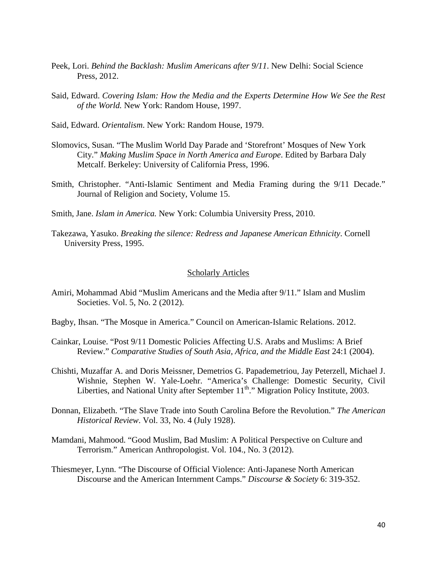- Peek, Lori. *Behind the Backlash: Muslim Americans after 9/11*. New Delhi: Social Science Press, 2012.
- Said, Edward. *Covering Islam: How the Media and the Experts Determine How We See the Rest of the World.* New York: Random House, 1997.
- Said, Edward. *Orientalism*. New York: Random House, 1979.
- Slomovics, Susan. "The Muslim World Day Parade and 'Storefront' Mosques of New York City." *Making Muslim Space in North America and Europe*. Edited by Barbara Daly Metcalf. Berkeley: University of California Press, 1996.
- Smith, Christopher. "Anti-Islamic Sentiment and Media Framing during the 9/11 Decade." Journal of Religion and Society, Volume 15.
- Smith, Jane. *Islam in America.* New York: Columbia University Press, 2010.
- Takezawa, Yasuko. *Breaking the silence: Redress and Japanese American Ethnicity*. Cornell University Press, 1995.

#### Scholarly Articles

- Amiri, Mohammad Abid "Muslim Americans and the Media after 9/11." Islam and Muslim Societies. Vol. 5, No. 2 (2012).
- Bagby, Ihsan. "The Mosque in America." Council on American-Islamic Relations. 2012.
- Cainkar, Louise. "Post 9/11 Domestic Policies Affecting U.S. Arabs and Muslims: A Brief Review." *Comparative Studies of South Asia, Africa, and the Middle East 24:1 (2004).*
- Chishti, Muzaffar A. and Doris Meissner, Demetrios G. Papademetriou, Jay Peterzell, Michael J. Wishnie, Stephen W. Yale-Loehr. "America's Challenge: Domestic Security, Civil Liberties, and National Unity after September 11<sup>th</sup>." Migration Policy Institute, 2003.
- Donnan, Elizabeth. "The Slave Trade into South Carolina Before the Revolution." *The American Historical Review*. Vol. 33, No. 4 (July 1928).
- Mamdani, Mahmood. "Good Muslim, Bad Muslim: A Political Perspective on Culture and Terrorism." American Anthropologist. Vol. 104., No. 3 (2012).
- Thiesmeyer, Lynn. "The Discourse of Official Violence: Anti-Japanese North American Discourse and the American Internment Camps." *Discourse & Society* 6: 319-352.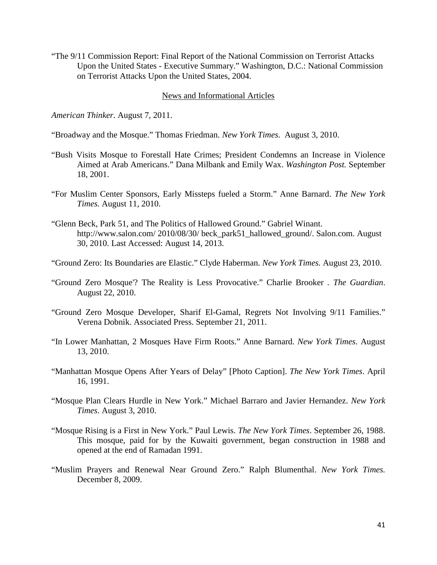"The 9/11 Commission Report: Final Report of the National Commission on Terrorist Attacks Upon the United States - Executive Summary." Washington, D.C.: National Commission on Terrorist Attacks Upon the United States, 2004.

#### News and Informational Articles

*American Thinker*. August 7, 2011.

"Broadway and the Mosque." Thomas Friedman. *New York Times*. August 3, 2010.

- "Bush Visits Mosque to Forestall Hate Crimes; President Condemns an Increase in Violence Aimed at Arab Americans." Dana Milbank and Emily Wax. *Washington Post.* September 18, 2001.
- "For Muslim Center Sponsors, Early Missteps fueled a Storm." Anne Barnard. *The New York Times.* August 11, 2010.
- "Glenn Beck, Park 51, and The Politics of Hallowed Ground." Gabriel Winant. http://www.salon.com/ 2010/08/30/ beck\_park51\_hallowed\_ground/. Salon.com. August 30, 2010. Last Accessed: August 14, 2013.
- "Ground Zero: Its Boundaries are Elastic." Clyde Haberman. *New York Times.* August 23, 2010.
- "Ground Zero Mosque'? The Reality is Less Provocative." Charlie Brooker *. The Guardian*. August 22, 2010.
- "Ground Zero Mosque Developer, Sharif El-Gamal, Regrets Not Involving 9/11 Families." Verena Dobnik. Associated Press. September 21, 2011.
- "In Lower Manhattan, 2 Mosques Have Firm Roots." Anne Barnard. *New York Times*. August 13, 2010.
- "Manhattan Mosque Opens After Years of Delay" [Photo Caption]. *The New York Times*. April 16, 1991.
- "Mosque Plan Clears Hurdle in New York." Michael Barraro and Javier Hernandez. *New York Times*. August 3, 2010.
- "Mosque Rising is a First in New York." Paul Lewis. *The New York Times*. September 26, 1988. This mosque, paid for by the Kuwaiti government, began construction in 1988 and opened at the end of Ramadan 1991.
- "Muslim Prayers and Renewal Near Ground Zero." Ralph Blumenthal. *New York Times.* December 8, 2009.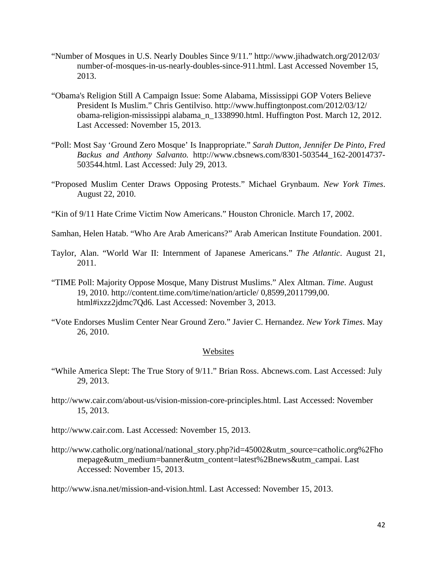- "Number of Mosques in U.S. Nearly Doubles Since 9/11." http://www.jihadwatch.org/2012/03/ number-of-mosques-in-us-nearly-doubles-since-911.html. Last Accessed November 15, 2013.
- "Obama's Religion Still A Campaign Issue: Some Alabama, Mississippi GOP Voters Believe President Is Muslim." Chris Gentilviso. http://www.huffingtonpost.com/2012/03/12/ obama-religion-mississippi alabama\_n\_1338990.html. Huffington Post. March 12, 2012. Last Accessed: November 15, 2013.
- "Poll: Most Say 'Ground Zero Mosque' Is Inappropriate." *Sarah Dutton, Jennifer De Pinto, Fred Backus and Anthony Salvanto.* http://www.cbsnews.com/8301-503544\_162-20014737- 503544.html. Last Accessed: July 29, 2013.
- "Proposed Muslim Center Draws Opposing Protests." Michael Grynbaum. *New York Times*. August 22, 2010.
- "Kin of 9/11 Hate Crime Victim Now Americans." Houston Chronicle. March 17, 2002.
- Samhan, Helen Hatab. "Who Are Arab Americans?" Arab American Institute Foundation. 2001.
- Taylor, Alan. "World War II: Internment of Japanese Americans." *The Atlantic*. August 21, 2011.
- "TIME Poll: Majority Oppose Mosque, Many Distrust Muslims." Alex Altman. *Time*. August 19, 2010. http://content.time.com/time/nation/article/ 0,8599,2011799,00. html#ixzz2jdmc7Qd6. Last Accessed: November 3, 2013.
- "Vote Endorses Muslim Center Near Ground Zero." Javier C. Hernandez. *New York Times*. May 26, 2010.

#### **Websites**

- "While America Slept: The True Story of 9/11." Brian Ross. Abcnews.com. Last Accessed: July 29, 2013.
- http://www.cair.com/about-us/vision-mission-core-principles.html. Last Accessed: November 15, 2013.
- http://www.cair.com. Last Accessed: November 15, 2013.
- http://www.catholic.org/national/national\_story.php?id=45002&utm\_source=catholic.org%2Fho mepage&utm\_medium=banner&utm\_content=latest%2Bnews&utm\_campai. Last Accessed: November 15, 2013.

http://www.isna.net/mission-and-vision.html. Last Accessed: November 15, 2013.